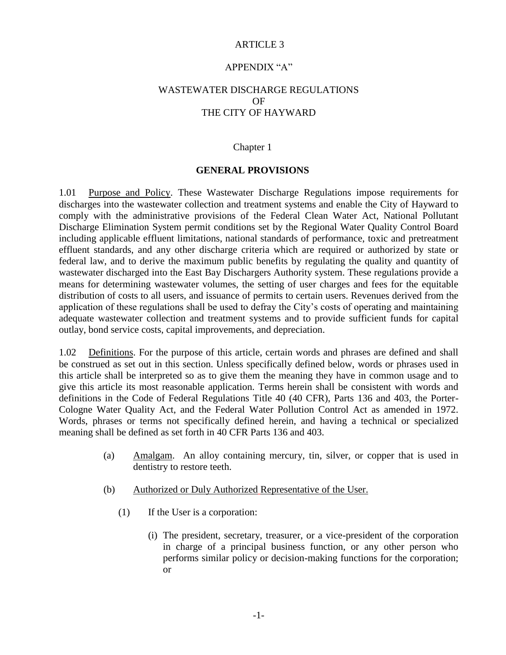### ARTICLE 3

### APPENDIX "A"

# WASTEWATER DISCHARGE REGULATIONS OF THE CITY OF HAYWARD

#### Chapter 1

### **GENERAL PROVISIONS**

1.01 Purpose and Policy. These Wastewater Discharge Regulations impose requirements for discharges into the wastewater collection and treatment systems and enable the City of Hayward to comply with the administrative provisions of the Federal Clean Water Act, National Pollutant Discharge Elimination System permit conditions set by the Regional Water Quality Control Board including applicable effluent limitations, national standards of performance, toxic and pretreatment effluent standards, and any other discharge criteria which are required or authorized by state or federal law, and to derive the maximum public benefits by regulating the quality and quantity of wastewater discharged into the East Bay Dischargers Authority system. These regulations provide a means for determining wastewater volumes, the setting of user charges and fees for the equitable distribution of costs to all users, and issuance of permits to certain users. Revenues derived from the application of these regulations shall be used to defray the City's costs of operating and maintaining adequate wastewater collection and treatment systems and to provide sufficient funds for capital outlay, bond service costs, capital improvements, and depreciation.

1.02 Definitions. For the purpose of this article, certain words and phrases are defined and shall be construed as set out in this section. Unless specifically defined below, words or phrases used in this article shall be interpreted so as to give them the meaning they have in common usage and to give this article its most reasonable application. Terms herein shall be consistent with words and definitions in the Code of Federal Regulations Title 40 (40 CFR), Parts 136 and 403, the Porter-Cologne Water Quality Act, and the Federal Water Pollution Control Act as amended in 1972. Words, phrases or terms not specifically defined herein, and having a technical or specialized meaning shall be defined as set forth in 40 CFR Parts 136 and 403.

- (a) Amalgam. An alloy containing mercury, tin, silver, or copper that is used in dentistry to restore teeth.
- (b) Authorized or Duly Authorized Representative of the User.
	- (1) If the User is a corporation:
		- (i) The president, secretary, treasurer, or a vice-president of the corporation in charge of a principal business function, or any other person who performs similar policy or decision-making functions for the corporation; or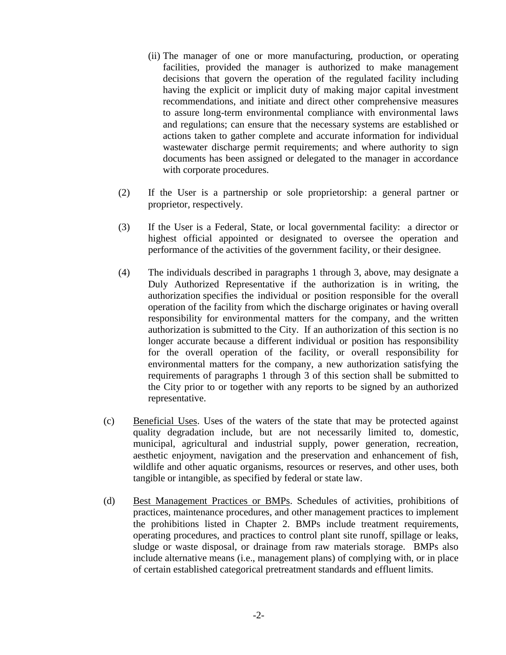- (ii) The manager of one or more manufacturing, production, or operating facilities, provided the manager is authorized to make management decisions that govern the operation of the regulated facility including having the explicit or implicit duty of making major capital investment recommendations, and initiate and direct other comprehensive measures to assure long-term environmental compliance with environmental laws and regulations; can ensure that the necessary systems are established or actions taken to gather complete and accurate information for individual wastewater discharge permit requirements; and where authority to sign documents has been assigned or delegated to the manager in accordance with corporate procedures.
- (2) If the User is a partnership or sole proprietorship: a general partner or proprietor, respectively.
- (3) If the User is a Federal, State, or local governmental facility: a director or highest official appointed or designated to oversee the operation and performance of the activities of the government facility, or their designee.
- (4) The individuals described in paragraphs 1 through 3, above, may designate a Duly Authorized Representative if the authorization is in writing, the authorization specifies the individual or position responsible for the overall operation of the facility from which the discharge originates or having overall responsibility for environmental matters for the company, and the written authorization is submitted to the City. If an authorization of this section is no longer accurate because a different individual or position has responsibility for the overall operation of the facility, or overall responsibility for environmental matters for the company, a new authorization satisfying the requirements of paragraphs 1 through 3 of this section shall be submitted to the City prior to or together with any reports to be signed by an authorized representative.
- (c) Beneficial Uses. Uses of the waters of the state that may be protected against quality degradation include, but are not necessarily limited to, domestic, municipal, agricultural and industrial supply, power generation, recreation, aesthetic enjoyment, navigation and the preservation and enhancement of fish, wildlife and other aquatic organisms, resources or reserves, and other uses, both tangible or intangible, as specified by federal or state law.
- (d) Best Management Practices or BMPs. Schedules of activities, prohibitions of practices, maintenance procedures, and other management practices to implement the prohibitions listed in Chapter 2. BMPs include treatment requirements, operating procedures, and practices to control plant site runoff, spillage or leaks, sludge or waste disposal, or drainage from raw materials storage. BMPs also include alternative means (i.e., management plans) of complying with, or in place of certain established categorical pretreatment standards and effluent limits.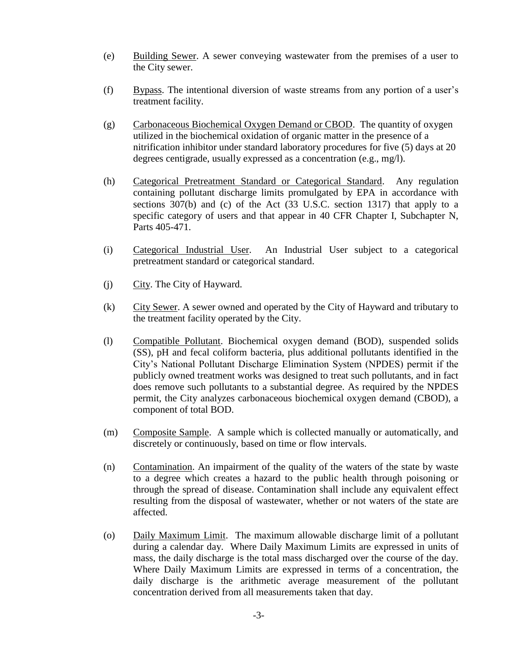- (e) Building Sewer. A sewer conveying wastewater from the premises of a user to the City sewer.
- (f) Bypass. The intentional diversion of waste streams from any portion of a user's treatment facility.
- (g) Carbonaceous Biochemical Oxygen Demand or CBOD. The quantity of oxygen utilized in the biochemical oxidation of organic matter in the presence of a nitrification inhibitor under standard laboratory procedures for five (5) days at 20 degrees centigrade, usually expressed as a concentration (e.g., mg/l).
- (h) Categorical Pretreatment Standard or Categorical Standard. Any regulation containing pollutant discharge limits promulgated by EPA in accordance with sections 307(b) and (c) of the Act (33 U.S.C. section 1317) that apply to a specific category of users and that appear in 40 CFR Chapter I, Subchapter N, Parts 405-471.
- (i) Categorical Industrial User. An Industrial User subject to a categorical pretreatment standard or categorical standard.
- (j) City. The City of Hayward.
- (k) City Sewer. A sewer owned and operated by the City of Hayward and tributary to the treatment facility operated by the City.
- (l) Compatible Pollutant. Biochemical oxygen demand (BOD), suspended solids (SS), pH and fecal coliform bacteria, plus additional pollutants identified in the City's National Pollutant Discharge Elimination System (NPDES) permit if the publicly owned treatment works was designed to treat such pollutants, and in fact does remove such pollutants to a substantial degree. As required by the NPDES permit, the City analyzes carbonaceous biochemical oxygen demand (CBOD), a component of total BOD.
- (m) Composite Sample. A sample which is collected manually or automatically, and discretely or continuously, based on time or flow intervals.
- (n) Contamination. An impairment of the quality of the waters of the state by waste to a degree which creates a hazard to the public health through poisoning or through the spread of disease. Contamination shall include any equivalent effect resulting from the disposal of wastewater, whether or not waters of the state are affected.
- (o) Daily Maximum Limit. The maximum allowable discharge limit of a pollutant during a calendar day. Where Daily Maximum Limits are expressed in units of mass, the daily discharge is the total mass discharged over the course of the day. Where Daily Maximum Limits are expressed in terms of a concentration, the daily discharge is the arithmetic average measurement of the pollutant concentration derived from all measurements taken that day.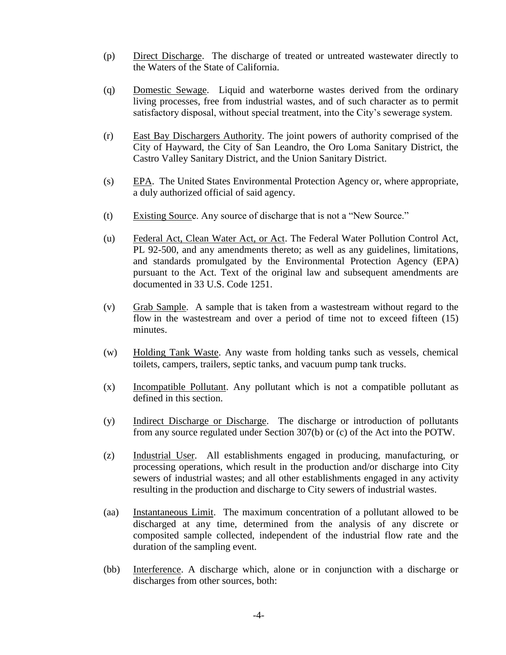- (p) Direct Discharge. The discharge of treated or untreated wastewater directly to the Waters of the State of California.
- (q) Domestic Sewage. Liquid and waterborne wastes derived from the ordinary living processes, free from industrial wastes, and of such character as to permit satisfactory disposal, without special treatment, into the City's sewerage system.
- (r) East Bay Dischargers Authority. The joint powers of authority comprised of the City of Hayward, the City of San Leandro, the Oro Loma Sanitary District, the Castro Valley Sanitary District, and the Union Sanitary District.
- (s) EPA. The United States Environmental Protection Agency or, where appropriate, a duly authorized official of said agency.
- (t) Existing Source. Any source of discharge that is not a "New Source."
- (u) Federal Act, Clean Water Act, or Act. The Federal Water Pollution Control Act, PL 92-500, and any amendments thereto; as well as any guidelines, limitations, and standards promulgated by the Environmental Protection Agency (EPA) pursuant to the Act. Text of the original law and subsequent amendments are documented in 33 U.S. Code 1251.
- (v) Grab Sample. A sample that is taken from a wastestream without regard to the flow in the wastestream and over a period of time not to exceed fifteen (15) minutes.
- (w) Holding Tank Waste. Any waste from holding tanks such as vessels, chemical toilets, campers, trailers, septic tanks, and vacuum pump tank trucks.
- (x) Incompatible Pollutant. Any pollutant which is not a compatible pollutant as defined in this section.
- (y) Indirect Discharge or Discharge. The discharge or introduction of pollutants from any source regulated under Section 307(b) or (c) of the Act into the POTW.
- (z) Industrial User. All establishments engaged in producing, manufacturing, or processing operations, which result in the production and/or discharge into City sewers of industrial wastes; and all other establishments engaged in any activity resulting in the production and discharge to City sewers of industrial wastes.
- (aa) Instantaneous Limit. The maximum concentration of a pollutant allowed to be discharged at any time, determined from the analysis of any discrete or composited sample collected, independent of the industrial flow rate and the duration of the sampling event.
- (bb) Interference. A discharge which, alone or in conjunction with a discharge or discharges from other sources, both: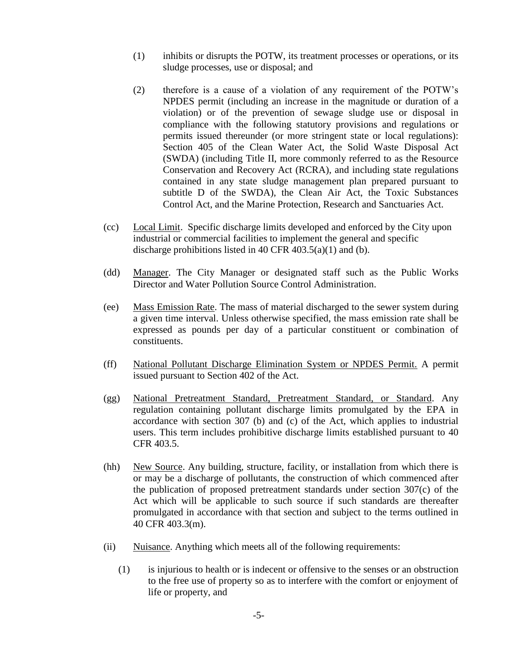- (1) inhibits or disrupts the POTW, its treatment processes or operations, or its sludge processes, use or disposal; and
- (2) therefore is a cause of a violation of any requirement of the POTW's NPDES permit (including an increase in the magnitude or duration of a violation) or of the prevention of sewage sludge use or disposal in compliance with the following statutory provisions and regulations or permits issued thereunder (or more stringent state or local regulations): Section 405 of the Clean Water Act, the Solid Waste Disposal Act (SWDA) (including Title II, more commonly referred to as the Resource Conservation and Recovery Act (RCRA), and including state regulations contained in any state sludge management plan prepared pursuant to subtitle D of the SWDA), the Clean Air Act, the Toxic Substances Control Act, and the Marine Protection, Research and Sanctuaries Act.
- (cc) Local Limit. Specific discharge limits developed and enforced by the City upon industrial or commercial facilities to implement the general and specific discharge prohibitions listed in 40 CFR  $403.5(a)(1)$  and (b).
- (dd) Manager. The City Manager or designated staff such as the Public Works Director and Water Pollution Source Control Administration.
- (ee) Mass Emission Rate. The mass of material discharged to the sewer system during a given time interval. Unless otherwise specified, the mass emission rate shall be expressed as pounds per day of a particular constituent or combination of constituents.
- (ff) National Pollutant Discharge Elimination System or NPDES Permit. A permit issued pursuant to Section 402 of the Act.
- (gg) National Pretreatment Standard, Pretreatment Standard, or Standard. Any regulation containing pollutant discharge limits promulgated by the EPA in accordance with section 307 (b) and (c) of the Act, which applies to industrial users. This term includes prohibitive discharge limits established pursuant to 40 CFR 403.5.
- (hh) New Source. Any building, structure, facility, or installation from which there is or may be a discharge of pollutants, the construction of which commenced after the publication of proposed pretreatment standards under section 307(c) of the Act which will be applicable to such source if such standards are thereafter promulgated in accordance with that section and subject to the terms outlined in 40 CFR 403.3(m).
- (ii) Nuisance. Anything which meets all of the following requirements:
	- (1) is injurious to health or is indecent or offensive to the senses or an obstruction to the free use of property so as to interfere with the comfort or enjoyment of life or property, and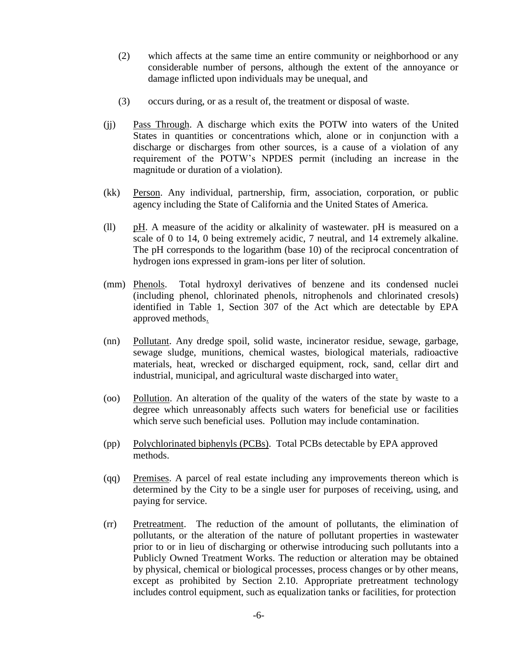- (2) which affects at the same time an entire community or neighborhood or any considerable number of persons, although the extent of the annoyance or damage inflicted upon individuals may be unequal, and
- (3) occurs during, or as a result of, the treatment or disposal of waste.
- (jj) Pass Through. A discharge which exits the POTW into waters of the United States in quantities or concentrations which, alone or in conjunction with a discharge or discharges from other sources, is a cause of a violation of any requirement of the POTW's NPDES permit (including an increase in the magnitude or duration of a violation).
- (kk) Person. Any individual, partnership, firm, association, corporation, or public agency including the State of California and the United States of America.
- (ll) pH. A measure of the acidity or alkalinity of wastewater. pH is measured on a scale of 0 to 14, 0 being extremely acidic, 7 neutral, and 14 extremely alkaline. The pH corresponds to the logarithm (base 10) of the reciprocal concentration of hydrogen ions expressed in gram-ions per liter of solution.
- (mm) Phenols. Total hydroxyl derivatives of benzene and its condensed nuclei (including phenol, chlorinated phenols, nitrophenols and chlorinated cresols) identified in Table 1, Section 307 of the Act which are detectable by EPA approved methods.
- (nn) Pollutant. Any dredge spoil, solid waste, incinerator residue, sewage, garbage, sewage sludge, munitions, chemical wastes, biological materials, radioactive materials, heat, wrecked or discharged equipment, rock, sand, cellar dirt and industrial, municipal, and agricultural waste discharged into water.
- (oo) Pollution. An alteration of the quality of the waters of the state by waste to a degree which unreasonably affects such waters for beneficial use or facilities which serve such beneficial uses. Pollution may include contamination.
- (pp) Polychlorinated biphenyls (PCBs). Total PCBs detectable by EPA approved methods.
- (qq) Premises. A parcel of real estate including any improvements thereon which is determined by the City to be a single user for purposes of receiving, using, and paying for service.
- (rr) Pretreatment. The reduction of the amount of pollutants, the elimination of pollutants, or the alteration of the nature of pollutant properties in wastewater prior to or in lieu of discharging or otherwise introducing such pollutants into a Publicly Owned Treatment Works. The reduction or alteration may be obtained by physical, chemical or biological processes, process changes or by other means, except as prohibited by Section 2.10. Appropriate pretreatment technology includes control equipment, such as equalization tanks or facilities, for protection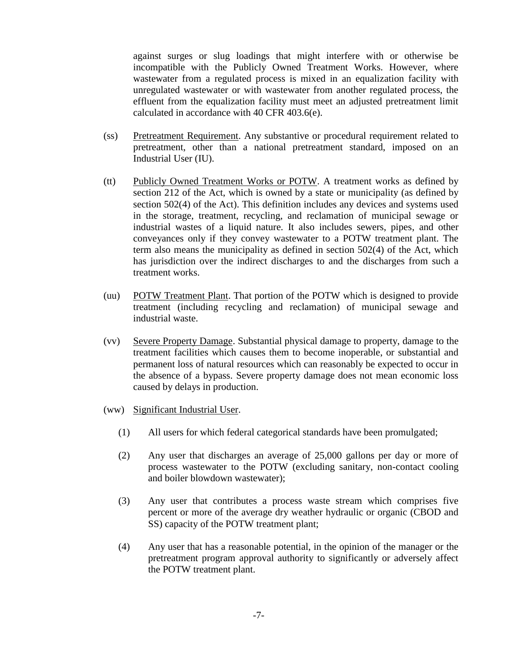against surges or slug loadings that might interfere with or otherwise be incompatible with the Publicly Owned Treatment Works. However, where wastewater from a regulated process is mixed in an equalization facility with unregulated wastewater or with wastewater from another regulated process, the effluent from the equalization facility must meet an adjusted pretreatment limit calculated in accordance with 40 CFR 403.6(e).

- (ss) Pretreatment Requirement. Any substantive or procedural requirement related to pretreatment, other than a national pretreatment standard, imposed on an Industrial User (IU).
- (tt) Publicly Owned Treatment Works or POTW. A treatment works as defined by section 212 of the Act, which is owned by a state or municipality (as defined by section 502(4) of the Act). This definition includes any devices and systems used in the storage, treatment, recycling, and reclamation of municipal sewage or industrial wastes of a liquid nature. It also includes sewers, pipes, and other conveyances only if they convey wastewater to a POTW treatment plant. The term also means the municipality as defined in section 502(4) of the Act, which has jurisdiction over the indirect discharges to and the discharges from such a treatment works.
- (uu) POTW Treatment Plant. That portion of the POTW which is designed to provide treatment (including recycling and reclamation) of municipal sewage and industrial waste.
- (vv) Severe Property Damage. Substantial physical damage to property, damage to the treatment facilities which causes them to become inoperable, or substantial and permanent loss of natural resources which can reasonably be expected to occur in the absence of a bypass. Severe property damage does not mean economic loss caused by delays in production.
- (ww) Significant Industrial User.
	- (1) All users for which federal categorical standards have been promulgated;
	- (2) Any user that discharges an average of 25,000 gallons per day or more of process wastewater to the POTW (excluding sanitary, non-contact cooling and boiler blowdown wastewater);
	- (3) Any user that contributes a process waste stream which comprises five percent or more of the average dry weather hydraulic or organic (CBOD and SS) capacity of the POTW treatment plant;
	- (4) Any user that has a reasonable potential, in the opinion of the manager or the pretreatment program approval authority to significantly or adversely affect the POTW treatment plant.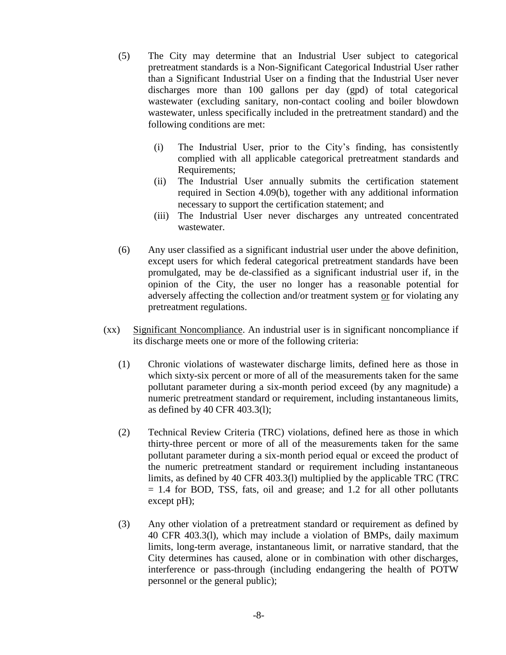- (5) The City may determine that an Industrial User subject to categorical pretreatment standards is a Non-Significant Categorical Industrial User rather than a Significant Industrial User on a finding that the Industrial User never discharges more than 100 gallons per day (gpd) of total categorical wastewater (excluding sanitary, non-contact cooling and boiler blowdown wastewater, unless specifically included in the pretreatment standard) and the following conditions are met:
	- (i) The Industrial User, prior to the City's finding, has consistently complied with all applicable categorical pretreatment standards and Requirements;
	- (ii) The Industrial User annually submits the certification statement required in Section 4.09(b), together with any additional information necessary to support the certification statement; and
	- (iii) The Industrial User never discharges any untreated concentrated wastewater.
- (6) Any user classified as a significant industrial user under the above definition, except users for which federal categorical pretreatment standards have been promulgated, may be de-classified as a significant industrial user if, in the opinion of the City, the user no longer has a reasonable potential for adversely affecting the collection and/or treatment system or for violating any pretreatment regulations.
- (xx) Significant Noncompliance. An industrial user is in significant noncompliance if its discharge meets one or more of the following criteria:
	- (1) Chronic violations of wastewater discharge limits, defined here as those in which sixty-six percent or more of all of the measurements taken for the same pollutant parameter during a six-month period exceed (by any magnitude) a numeric pretreatment standard or requirement, including instantaneous limits, as defined by 40 CFR 403.3(l);
	- (2) Technical Review Criteria (TRC) violations, defined here as those in which thirty-three percent or more of all of the measurements taken for the same pollutant parameter during a six-month period equal or exceed the product of the numeric pretreatment standard or requirement including instantaneous limits, as defined by 40 CFR 403.3(l) multiplied by the applicable TRC (TRC = 1.4 for BOD, TSS, fats, oil and grease; and 1.2 for all other pollutants except pH);
	- (3) Any other violation of a pretreatment standard or requirement as defined by 40 CFR 403.3(l), which may include a violation of BMPs, daily maximum limits, long-term average, instantaneous limit, or narrative standard, that the City determines has caused, alone or in combination with other discharges, interference or pass-through (including endangering the health of POTW personnel or the general public);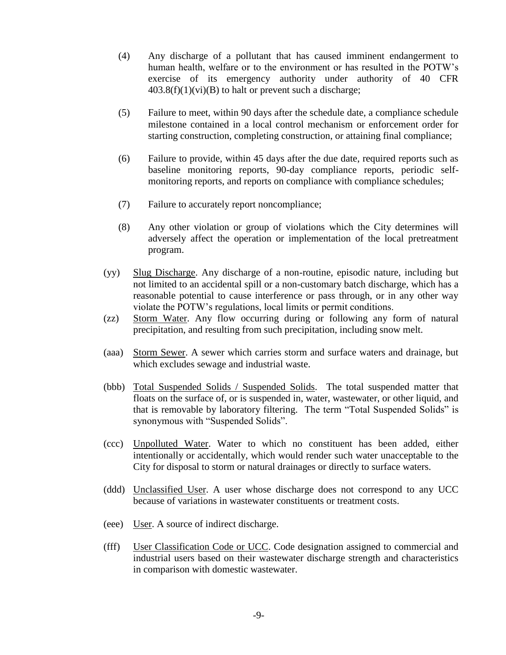- (4) Any discharge of a pollutant that has caused imminent endangerment to human health, welfare or to the environment or has resulted in the POTW's exercise of its emergency authority under authority of 40 CFR  $403.8(f)(1)(vi)(B)$  to halt or prevent such a discharge;
- (5) Failure to meet, within 90 days after the schedule date, a compliance schedule milestone contained in a local control mechanism or enforcement order for starting construction, completing construction, or attaining final compliance;
- (6) Failure to provide, within 45 days after the due date, required reports such as baseline monitoring reports, 90-day compliance reports, periodic selfmonitoring reports, and reports on compliance with compliance schedules;
- (7) Failure to accurately report noncompliance;
- (8) Any other violation or group of violations which the City determines will adversely affect the operation or implementation of the local pretreatment program.
- (yy) Slug Discharge. Any discharge of a non-routine, episodic nature, including but not limited to an accidental spill or a non-customary batch discharge, which has a reasonable potential to cause interference or pass through, or in any other way violate the POTW's regulations, local limits or permit conditions.
- (zz) Storm Water. Any flow occurring during or following any form of natural precipitation, and resulting from such precipitation, including snow melt.
- (aaa) Storm Sewer. A sewer which carries storm and surface waters and drainage, but which excludes sewage and industrial waste.
- (bbb) Total Suspended Solids / Suspended Solids. The total suspended matter that floats on the surface of, or is suspended in, water, wastewater, or other liquid, and that is removable by laboratory filtering. The term "Total Suspended Solids" is synonymous with "Suspended Solids".
- (ccc) Unpolluted Water. Water to which no constituent has been added, either intentionally or accidentally, which would render such water unacceptable to the City for disposal to storm or natural drainages or directly to surface waters.
- (ddd) Unclassified User. A user whose discharge does not correspond to any UCC because of variations in wastewater constituents or treatment costs.
- (eee) User. A source of indirect discharge.
- (fff) User Classification Code or UCC. Code designation assigned to commercial and industrial users based on their wastewater discharge strength and characteristics in comparison with domestic wastewater.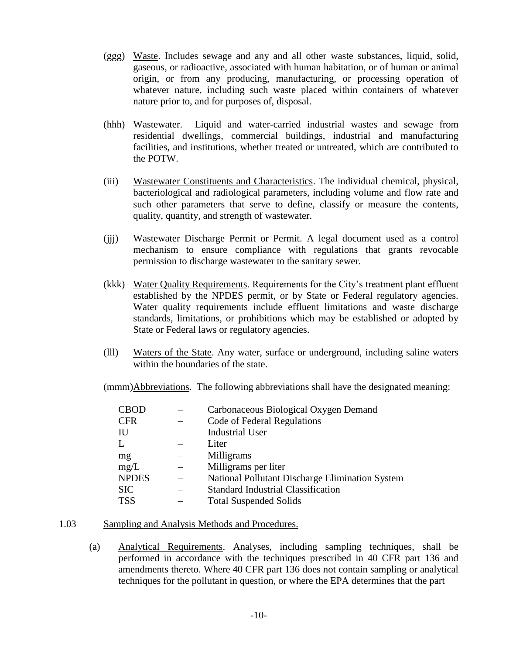- (ggg) Waste. Includes sewage and any and all other waste substances, liquid, solid, gaseous, or radioactive, associated with human habitation, or of human or animal origin, or from any producing, manufacturing, or processing operation of whatever nature, including such waste placed within containers of whatever nature prior to, and for purposes of, disposal.
- (hhh) Wastewater. Liquid and water-carried industrial wastes and sewage from residential dwellings, commercial buildings, industrial and manufacturing facilities, and institutions, whether treated or untreated, which are contributed to the POTW.
- (iii) Wastewater Constituents and Characteristics. The individual chemical, physical, bacteriological and radiological parameters, including volume and flow rate and such other parameters that serve to define, classify or measure the contents, quality, quantity, and strength of wastewater.
- (jjj) Wastewater Discharge Permit or Permit. A legal document used as a control mechanism to ensure compliance with regulations that grants revocable permission to discharge wastewater to the sanitary sewer.
- (kkk) Water Quality Requirements. Requirements for the City's treatment plant effluent established by the NPDES permit, or by State or Federal regulatory agencies. Water quality requirements include effluent limitations and waste discharge standards, limitations, or prohibitions which may be established or adopted by State or Federal laws or regulatory agencies.
- (lll) Waters of the State. Any water, surface or underground, including saline waters within the boundaries of the state.

(mmm)Abbreviations. The following abbreviations shall have the designated meaning:

| <b>CBOD</b>  | Carbonaceous Biological Oxygen Demand           |
|--------------|-------------------------------------------------|
| <b>CFR</b>   | Code of Federal Regulations                     |
| IU           | <b>Industrial User</b>                          |
| L            | Liter                                           |
| mg           | Milligrams                                      |
| mg/L         | Milligrams per liter                            |
| <b>NPDES</b> | National Pollutant Discharge Elimination System |
| <b>SIC</b>   | <b>Standard Industrial Classification</b>       |
| <b>TSS</b>   | <b>Total Suspended Solids</b>                   |

#### 1.03 Sampling and Analysis Methods and Procedures.

(a) Analytical Requirements. Analyses, including sampling techniques, shall be performed in accordance with the techniques prescribed in 40 CFR part 136 and amendments thereto. Where 40 CFR part 136 does not contain sampling or analytical techniques for the pollutant in question, or where the EPA determines that the part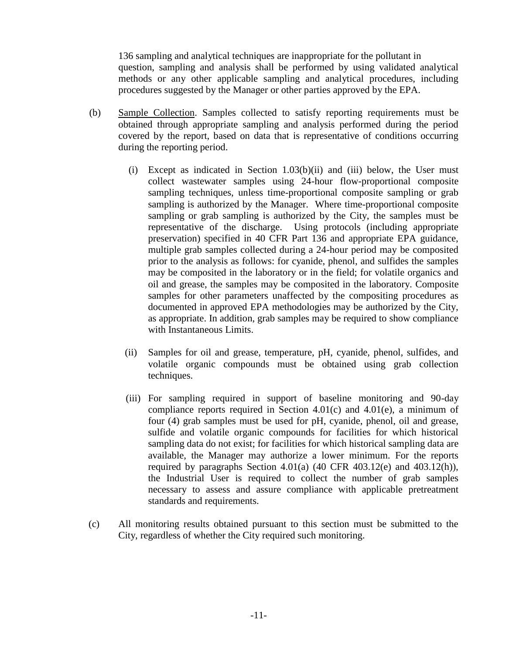136 sampling and analytical techniques are inappropriate for the pollutant in question, sampling and analysis shall be performed by using validated analytical methods or any other applicable sampling and analytical procedures, including procedures suggested by the Manager or other parties approved by the EPA.

- (b) Sample Collection. Samples collected to satisfy reporting requirements must be obtained through appropriate sampling and analysis performed during the period covered by the report, based on data that is representative of conditions occurring during the reporting period.
	- $(i)$  Except as indicated in Section 1.03(b)(ii) and (iii) below, the User must collect wastewater samples using 24-hour flow-proportional composite sampling techniques, unless time-proportional composite sampling or grab sampling is authorized by the Manager. Where time-proportional composite sampling or grab sampling is authorized by the City, the samples must be representative of the discharge. Using protocols (including appropriate preservation) specified in 40 CFR Part 136 and appropriate EPA guidance, multiple grab samples collected during a 24-hour period may be composited prior to the analysis as follows: for cyanide, phenol, and sulfides the samples may be composited in the laboratory or in the field; for volatile organics and oil and grease, the samples may be composited in the laboratory. Composite samples for other parameters unaffected by the compositing procedures as documented in approved EPA methodologies may be authorized by the City, as appropriate. In addition, grab samples may be required to show compliance with Instantaneous Limits.
	- (ii) Samples for oil and grease, temperature, pH, cyanide, phenol, sulfides, and volatile organic compounds must be obtained using grab collection techniques.
	- (iii) For sampling required in support of baseline monitoring and 90-day compliance reports required in Section 4.01(c) and 4.01(e), a minimum of four (4) grab samples must be used for pH, cyanide, phenol, oil and grease, sulfide and volatile organic compounds for facilities for which historical sampling data do not exist; for facilities for which historical sampling data are available, the Manager may authorize a lower minimum. For the reports required by paragraphs Section 4.01(a)  $(40 \text{ CFR } 403.12(e)$  and  $403.12(h)$ ), the Industrial User is required to collect the number of grab samples necessary to assess and assure compliance with applicable pretreatment standards and requirements.
- (c) All monitoring results obtained pursuant to this section must be submitted to the City, regardless of whether the City required such monitoring.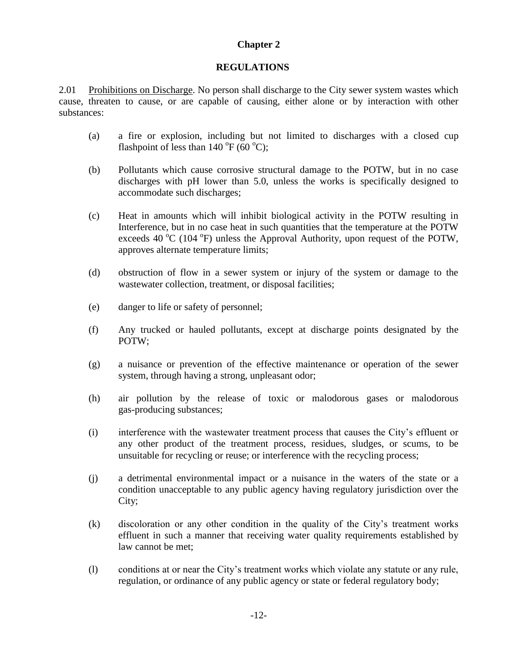## **REGULATIONS**

2.01 Prohibitions on Discharge. No person shall discharge to the City sewer system wastes which cause, threaten to cause, or are capable of causing, either alone or by interaction with other substances:

- (a) a fire or explosion, including but not limited to discharges with a closed cup flashpoint of less than  $140^{\circ}F(60^{\circ}C)$ ;
- (b) Pollutants which cause corrosive structural damage to the POTW, but in no case discharges with pH lower than 5.0, unless the works is specifically designed to accommodate such discharges;
- (c) Heat in amounts which will inhibit biological activity in the POTW resulting in Interference, but in no case heat in such quantities that the temperature at the POTW exceeds 40  $\rm{^oC}$  (104  $\rm{^oF}$ ) unless the Approval Authority, upon request of the POTW, approves alternate temperature limits;
- (d) obstruction of flow in a sewer system or injury of the system or damage to the wastewater collection, treatment, or disposal facilities;
- (e) danger to life or safety of personnel;
- (f) Any trucked or hauled pollutants, except at discharge points designated by the POTW;
- (g) a nuisance or prevention of the effective maintenance or operation of the sewer system, through having a strong, unpleasant odor;
- (h) air pollution by the release of toxic or malodorous gases or malodorous gas-producing substances;
- (i) interference with the wastewater treatment process that causes the City's effluent or any other product of the treatment process, residues, sludges, or scums, to be unsuitable for recycling or reuse; or interference with the recycling process;
- (j) a detrimental environmental impact or a nuisance in the waters of the state or a condition unacceptable to any public agency having regulatory jurisdiction over the City;
- (k) discoloration or any other condition in the quality of the City's treatment works effluent in such a manner that receiving water quality requirements established by law cannot be met;
- (l) conditions at or near the City's treatment works which violate any statute or any rule, regulation, or ordinance of any public agency or state or federal regulatory body;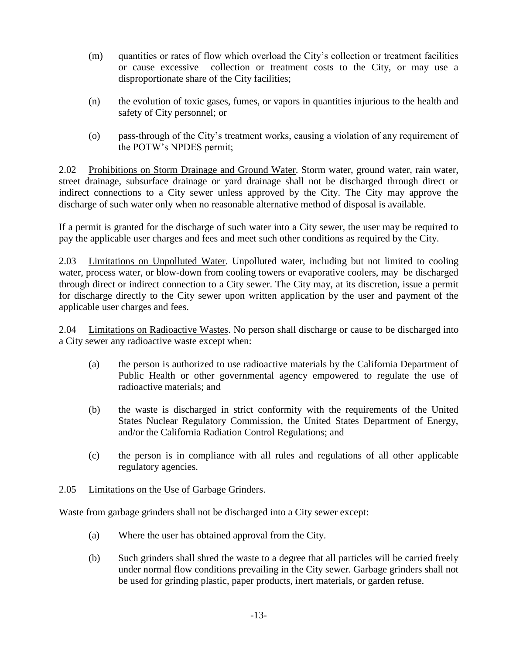- (m) quantities or rates of flow which overload the City's collection or treatment facilities or cause excessive collection or treatment costs to the City, or may use a disproportionate share of the City facilities;
- (n) the evolution of toxic gases, fumes, or vapors in quantities injurious to the health and safety of City personnel; or
- (o) pass-through of the City's treatment works, causing a violation of any requirement of the POTW's NPDES permit;

2.02 Prohibitions on Storm Drainage and Ground Water. Storm water, ground water, rain water, street drainage, subsurface drainage or yard drainage shall not be discharged through direct or indirect connections to a City sewer unless approved by the City. The City may approve the discharge of such water only when no reasonable alternative method of disposal is available.

If a permit is granted for the discharge of such water into a City sewer, the user may be required to pay the applicable user charges and fees and meet such other conditions as required by the City.

2.03 Limitations on Unpolluted Water. Unpolluted water, including but not limited to cooling water, process water, or blow-down from cooling towers or evaporative coolers, may be discharged through direct or indirect connection to a City sewer. The City may, at its discretion, issue a permit for discharge directly to the City sewer upon written application by the user and payment of the applicable user charges and fees.

2.04 Limitations on Radioactive Wastes. No person shall discharge or cause to be discharged into a City sewer any radioactive waste except when:

- (a) the person is authorized to use radioactive materials by the California Department of Public Health or other governmental agency empowered to regulate the use of radioactive materials; and
- (b) the waste is discharged in strict conformity with the requirements of the United States Nuclear Regulatory Commission, the United States Department of Energy, and/or the California Radiation Control Regulations; and
- (c) the person is in compliance with all rules and regulations of all other applicable regulatory agencies.

## 2.05 Limitations on the Use of Garbage Grinders.

Waste from garbage grinders shall not be discharged into a City sewer except:

- (a) Where the user has obtained approval from the City.
- (b) Such grinders shall shred the waste to a degree that all particles will be carried freely under normal flow conditions prevailing in the City sewer. Garbage grinders shall not be used for grinding plastic, paper products, inert materials, or garden refuse.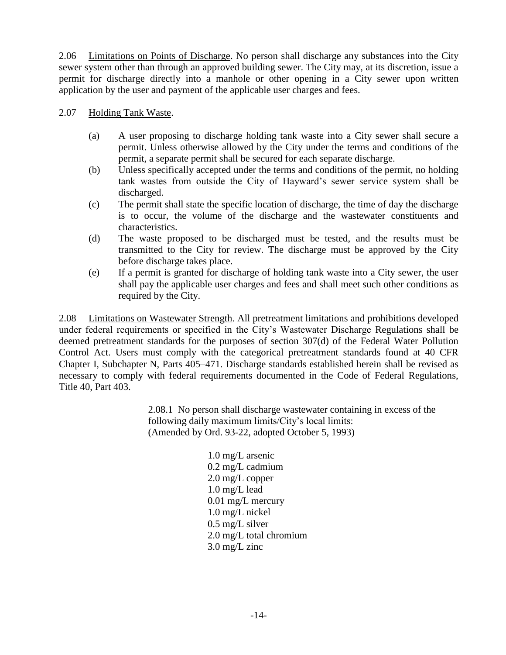2.06 Limitations on Points of Discharge. No person shall discharge any substances into the City sewer system other than through an approved building sewer. The City may, at its discretion, issue a permit for discharge directly into a manhole or other opening in a City sewer upon written application by the user and payment of the applicable user charges and fees.

2.07 Holding Tank Waste.

- (a) A user proposing to discharge holding tank waste into a City sewer shall secure a permit. Unless otherwise allowed by the City under the terms and conditions of the permit, a separate permit shall be secured for each separate discharge.
- (b) Unless specifically accepted under the terms and conditions of the permit, no holding tank wastes from outside the City of Hayward's sewer service system shall be discharged.
- (c) The permit shall state the specific location of discharge, the time of day the discharge is to occur, the volume of the discharge and the wastewater constituents and characteristics.
- (d) The waste proposed to be discharged must be tested, and the results must be transmitted to the City for review. The discharge must be approved by the City before discharge takes place.
- (e) If a permit is granted for discharge of holding tank waste into a City sewer, the user shall pay the applicable user charges and fees and shall meet such other conditions as required by the City.

2.08 Limitations on Wastewater Strength. All pretreatment limitations and prohibitions developed under federal requirements or specified in the City's Wastewater Discharge Regulations shall be deemed pretreatment standards for the purposes of section 307(d) of the Federal Water Pollution Control Act. Users must comply with the categorical pretreatment standards found at 40 CFR Chapter I, Subchapter N, Parts 405–471. Discharge standards established herein shall be revised as necessary to comply with federal requirements documented in the Code of Federal Regulations, Title 40, Part 403.

> 2.08.1 No person shall discharge wastewater containing in excess of the following daily maximum limits/City's local limits: (Amended by Ord. 93-22, adopted October 5, 1993)

> > 1.0 mg/L arsenic 0.2 mg/L cadmium 2.0 mg/L copper 1.0 mg/L lead 0.01 mg/L mercury 1.0 mg/L nickel 0.5 mg/L silver 2.0 mg/L total chromium 3.0 mg/L zinc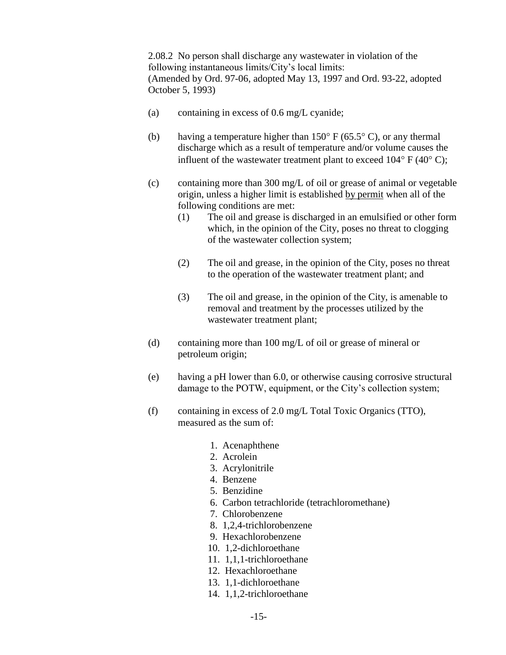2.08.2 No person shall discharge any wastewater in violation of the following instantaneous limits/City's local limits: (Amended by Ord. 97-06, adopted May 13, 1997 and Ord. 93-22, adopted October 5, 1993)

- (a) containing in excess of 0.6 mg/L cyanide;
- (b) having a temperature higher than  $150^{\circ}$  F (65.5° C), or any thermal discharge which as a result of temperature and/or volume causes the influent of the wastewater treatment plant to exceed  $104^{\circ}$  F (40 $^{\circ}$  C);
- (c) containing more than 300 mg/L of oil or grease of animal or vegetable origin, unless a higher limit is established by permit when all of the following conditions are met:
	- (1) The oil and grease is discharged in an emulsified or other form which, in the opinion of the City, poses no threat to clogging of the wastewater collection system;
	- (2) The oil and grease, in the opinion of the City, poses no threat to the operation of the wastewater treatment plant; and
	- (3) The oil and grease, in the opinion of the City, is amenable to removal and treatment by the processes utilized by the wastewater treatment plant;
- (d) containing more than 100 mg/L of oil or grease of mineral or petroleum origin;
- (e) having a pH lower than 6.0, or otherwise causing corrosive structural damage to the POTW, equipment, or the City's collection system;
- (f) containing in excess of 2.0 mg/L Total Toxic Organics (TTO), measured as the sum of:
	- 1. Acenaphthene
	- 2. Acrolein
	- 3. Acrylonitrile
	- 4. Benzene
	- 5. Benzidine
	- 6. Carbon tetrachloride (tetrachloromethane)
	- 7. Chlorobenzene
	- 8. 1,2,4-trichlorobenzene
	- 9. Hexachlorobenzene
	- 10. 1,2-dichloroethane
	- 11. 1,1,1-trichloroethane
	- 12. Hexachloroethane
	- 13. 1,1-dichloroethane
	- 14. 1,1,2-trichloroethane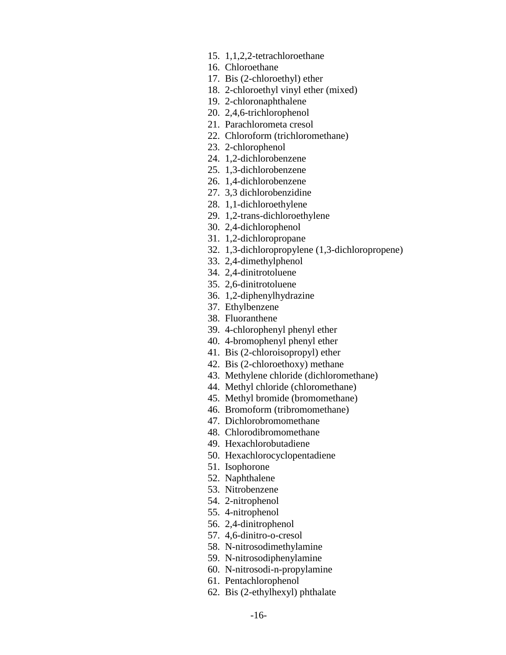- 15. 1,1,2,2-tetrachloroethane
- 16. Chloroethane
- 17. Bis (2-chloroethyl) ether
- 18. 2-chloroethyl vinyl ether (mixed)
- 19. 2-chloronaphthalene
- 20. 2,4,6-trichlorophenol
- 21. Parachlorometa cresol
- 22. Chloroform (trichloromethane)
- 23. 2-chlorophenol
- 24. 1,2-dichlorobenzene
- 25. 1,3-dichlorobenzene
- 26. 1,4-dichlorobenzene
- 27. 3,3 dichlorobenzidine
- 28. 1,1-dichloroethylene
- 29. 1,2-trans-dichloroethylene
- 30. 2,4-dichlorophenol
- 31. 1,2-dichloropropane
- 32. 1,3-dichloropropylene (1,3-dichloropropene)
- 33. 2,4-dimethylphenol
- 34. 2,4-dinitrotoluene
- 35. 2,6-dinitrotoluene
- 36. 1,2-diphenylhydrazine
- 37. Ethylbenzene
- 38. Fluoranthene
- 39. 4-chlorophenyl phenyl ether
- 40. 4-bromophenyl phenyl ether
- 41. Bis (2-chloroisopropyl) ether
- 42. Bis (2-chloroethoxy) methane
- 43. Methylene chloride (dichloromethane)
- 44. Methyl chloride (chloromethane)
- 45. Methyl bromide (bromomethane)
- 46. Bromoform (tribromomethane)
- 47. Dichlorobromomethane
- 48. Chlorodibromomethane
- 49. Hexachlorobutadiene
- 50. Hexachlorocyclopentadiene
- 51. Isophorone
- 52. Naphthalene
- 53. Nitrobenzene
- 54. 2-nitrophenol
- 55. 4-nitrophenol
- 56. 2,4-dinitrophenol
- 57. 4,6-dinitro-o-cresol
- 58. N-nitrosodimethylamine
- 59. N-nitrosodiphenylamine
- 60. N-nitrosodi-n-propylamine
- 61. Pentachlorophenol
- 62. Bis (2-ethylhexyl) phthalate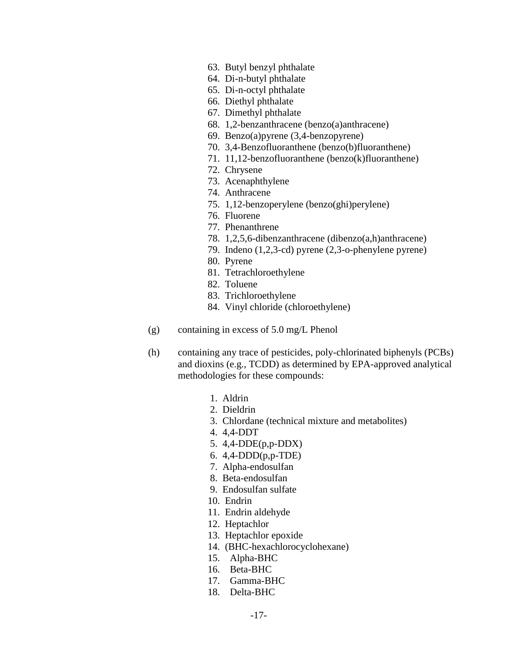- 63. Butyl benzyl phthalate
- 64. Di-n-butyl phthalate
- 65. Di-n-octyl phthalate
- 66. Diethyl phthalate
- 67. Dimethyl phthalate
- 68. 1,2-benzanthracene (benzo(a)anthracene)
- 69. Benzo(a)pyrene (3,4-benzopyrene)
- 70. 3,4-Benzofluoranthene (benzo(b)fluoranthene)
- 71. 11,12-benzofluoranthene (benzo(k)fluoranthene)
- 72. Chrysene
- 73. Acenaphthylene
- 74. Anthracene
- 75. 1,12-benzoperylene (benzo(ghi)perylene)
- 76. Fluorene
- 77. Phenanthrene
- 78. 1,2,5,6-dibenzanthracene (dibenzo(a,h)anthracene)
- 79. Indeno (1,2,3-cd) pyrene (2,3-o-phenylene pyrene)
- 80. Pyrene
- 81. Tetrachloroethylene
- 82. Toluene
- 83. Trichloroethylene
- 84. Vinyl chloride (chloroethylene)
- (g) containing in excess of 5.0 mg/L Phenol
- (h) containing any trace of pesticides, poly-chlorinated biphenyls (PCBs) and dioxins (e.g., TCDD) as determined by EPA-approved analytical methodologies for these compounds:
	- 1. Aldrin
	- 2. Dieldrin
	- 3. Chlordane (technical mixture and metabolites)
	- 4. 4,4-DDT
	- 5. 4,4-DDE(p,p-DDX)
	- 6. 4,4-DDD(p,p-TDE)
	- 7. Alpha-endosulfan
	- 8. Beta-endosulfan
	- 9. Endosulfan sulfate
	- 10. Endrin
	- 11. Endrin aldehyde
	- 12. Heptachlor
	- 13. Heptachlor epoxide
	- 14. (BHC-hexachlorocyclohexane)
	- 15. Alpha-BHC
	- 16. Beta-BHC
	- 17. Gamma-BHC
	- 18. Delta-BHC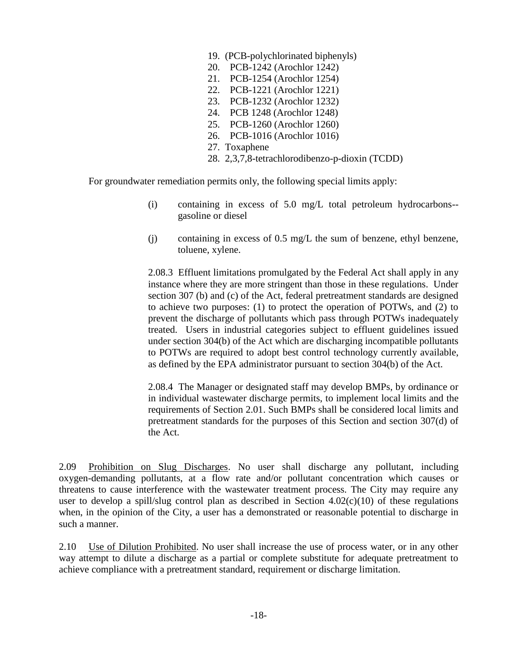- 19. (PCB-polychlorinated biphenyls)
- 20. PCB-1242 (Arochlor 1242)
- 21. PCB-1254 (Arochlor 1254)
- 22. PCB-1221 (Arochlor 1221)
- 23. PCB-1232 (Arochlor 1232)
- 24. PCB 1248 (Arochlor 1248)
- 25. PCB-1260 (Arochlor 1260)
- 26. PCB-1016 (Arochlor 1016)
- 27. Toxaphene
- 28. 2,3,7,8-tetrachlorodibenzo-p-dioxin (TCDD)

For groundwater remediation permits only, the following special limits apply:

- (i) containing in excess of 5.0 mg/L total petroleum hydrocarbons- gasoline or diesel
- (j) containing in excess of 0.5 mg/L the sum of benzene, ethyl benzene, toluene, xylene.

2.08.3 Effluent limitations promulgated by the Federal Act shall apply in any instance where they are more stringent than those in these regulations. Under section 307 (b) and (c) of the Act, federal pretreatment standards are designed to achieve two purposes: (1) to protect the operation of POTWs, and (2) to prevent the discharge of pollutants which pass through POTWs inadequately treated. Users in industrial categories subject to effluent guidelines issued under section 304(b) of the Act which are discharging incompatible pollutants to POTWs are required to adopt best control technology currently available, as defined by the EPA administrator pursuant to section 304(b) of the Act.

2.08.4 The Manager or designated staff may develop BMPs, by ordinance or in individual wastewater discharge permits, to implement local limits and the requirements of Section 2.01. Such BMPs shall be considered local limits and pretreatment standards for the purposes of this Section and section 307(d) of the Act.

2.09 Prohibition on Slug Discharges. No user shall discharge any pollutant, including oxygen-demanding pollutants, at a flow rate and/or pollutant concentration which causes or threatens to cause interference with the wastewater treatment process. The City may require any user to develop a spill/slug control plan as described in Section  $4.02(c)(10)$  of these regulations when, in the opinion of the City, a user has a demonstrated or reasonable potential to discharge in such a manner.

2.10 Use of Dilution Prohibited. No user shall increase the use of process water, or in any other way attempt to dilute a discharge as a partial or complete substitute for adequate pretreatment to achieve compliance with a pretreatment standard, requirement or discharge limitation.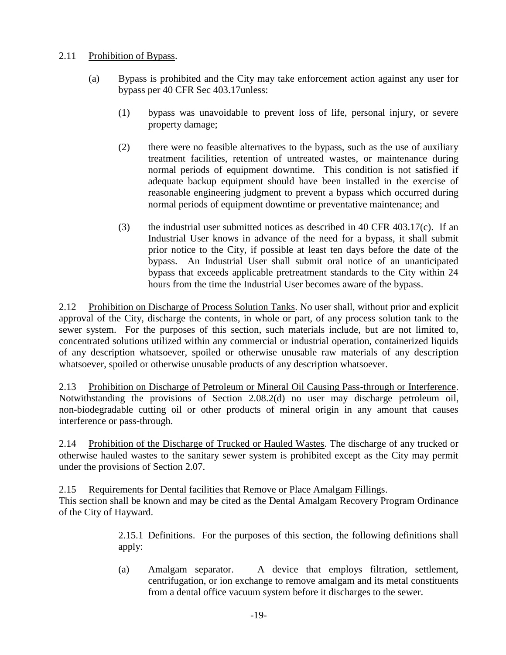# 2.11 Prohibition of Bypass.

- (a) Bypass is prohibited and the City may take enforcement action against any user for bypass per 40 CFR Sec 403.17unless:
	- (1) bypass was unavoidable to prevent loss of life, personal injury, or severe property damage;
	- (2) there were no feasible alternatives to the bypass, such as the use of auxiliary treatment facilities, retention of untreated wastes, or maintenance during normal periods of equipment downtime. This condition is not satisfied if adequate backup equipment should have been installed in the exercise of reasonable engineering judgment to prevent a bypass which occurred during normal periods of equipment downtime or preventative maintenance; and
	- (3) the industrial user submitted notices as described in 40 CFR 403.17(c). If an Industrial User knows in advance of the need for a bypass, it shall submit prior notice to the City, if possible at least ten days before the date of the bypass. An Industrial User shall submit oral notice of an unanticipated bypass that exceeds applicable pretreatment standards to the City within 24 hours from the time the Industrial User becomes aware of the bypass.

2.12 Prohibition on Discharge of Process Solution Tanks. No user shall, without prior and explicit approval of the City, discharge the contents, in whole or part, of any process solution tank to the sewer system. For the purposes of this section, such materials include, but are not limited to, concentrated solutions utilized within any commercial or industrial operation, containerized liquids of any description whatsoever, spoiled or otherwise unusable raw materials of any description whatsoever, spoiled or otherwise unusable products of any description whatsoever.

2.13 Prohibition on Discharge of Petroleum or Mineral Oil Causing Pass-through or Interference. Notwithstanding the provisions of Section 2.08.2(d) no user may discharge petroleum oil, non-biodegradable cutting oil or other products of mineral origin in any amount that causes interference or pass-through.

2.14 Prohibition of the Discharge of Trucked or Hauled Wastes. The discharge of any trucked or otherwise hauled wastes to the sanitary sewer system is prohibited except as the City may permit under the provisions of Section 2.07.

2.15 Requirements for Dental facilities that Remove or Place Amalgam Fillings.

This section shall be known and may be cited as the Dental Amalgam Recovery Program Ordinance of the City of Hayward.

> 2.15.1 Definitions. For the purposes of this section, the following definitions shall apply:

> (a) Amalgam separator. A device that employs filtration, settlement, centrifugation, or ion exchange to remove amalgam and its metal constituents from a dental office vacuum system before it discharges to the sewer.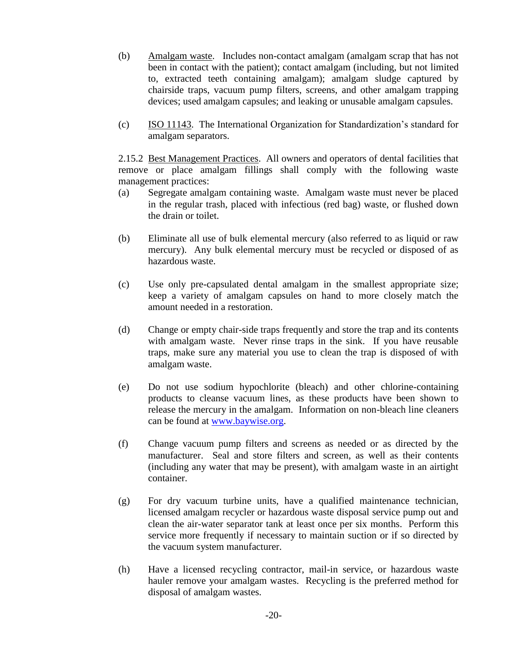- (b) Amalgam waste. Includes non-contact amalgam (amalgam scrap that has not been in contact with the patient); contact amalgam (including, but not limited to, extracted teeth containing amalgam); amalgam sludge captured by chairside traps, vacuum pump filters, screens, and other amalgam trapping devices; used amalgam capsules; and leaking or unusable amalgam capsules.
- (c) ISO 11143. The International Organization for Standardization's standard for amalgam separators.

2.15.2 Best Management Practices. All owners and operators of dental facilities that remove or place amalgam fillings shall comply with the following waste management practices:

- (a) Segregate amalgam containing waste. Amalgam waste must never be placed in the regular trash, placed with infectious (red bag) waste, or flushed down the drain or toilet.
- (b) Eliminate all use of bulk elemental mercury (also referred to as liquid or raw mercury). Any bulk elemental mercury must be recycled or disposed of as hazardous waste.
- (c) Use only pre-capsulated dental amalgam in the smallest appropriate size; keep a variety of amalgam capsules on hand to more closely match the amount needed in a restoration.
- (d) Change or empty chair-side traps frequently and store the trap and its contents with amalgam waste. Never rinse traps in the sink. If you have reusable traps, make sure any material you use to clean the trap is disposed of with amalgam waste.
- (e) Do not use sodium hypochlorite (bleach) and other chlorine-containing products to cleanse vacuum lines, as these products have been shown to release the mercury in the amalgam. Information on non-bleach line cleaners can be found at [www.baywise.org.](http://www.baywise.org/)
- (f) Change vacuum pump filters and screens as needed or as directed by the manufacturer. Seal and store filters and screen, as well as their contents (including any water that may be present), with amalgam waste in an airtight container.
- (g) For dry vacuum turbine units, have a qualified maintenance technician, licensed amalgam recycler or hazardous waste disposal service pump out and clean the air-water separator tank at least once per six months. Perform this service more frequently if necessary to maintain suction or if so directed by the vacuum system manufacturer.
- (h) Have a licensed recycling contractor, mail-in service, or hazardous waste hauler remove your amalgam wastes. Recycling is the preferred method for disposal of amalgam wastes.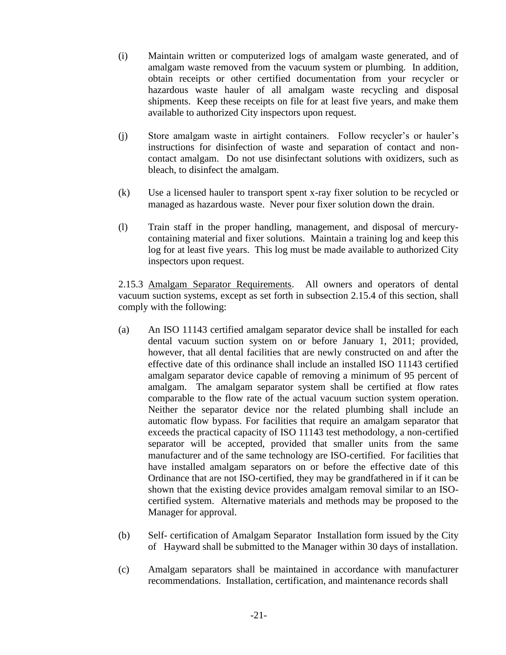- (i) Maintain written or computerized logs of amalgam waste generated, and of amalgam waste removed from the vacuum system or plumbing. In addition, obtain receipts or other certified documentation from your recycler or hazardous waste hauler of all amalgam waste recycling and disposal shipments. Keep these receipts on file for at least five years, and make them available to authorized City inspectors upon request.
- (j) Store amalgam waste in airtight containers. Follow recycler's or hauler's instructions for disinfection of waste and separation of contact and noncontact amalgam. Do not use disinfectant solutions with oxidizers, such as bleach, to disinfect the amalgam.
- (k) Use a licensed hauler to transport spent x-ray fixer solution to be recycled or managed as hazardous waste. Never pour fixer solution down the drain.
- (l) Train staff in the proper handling, management, and disposal of mercurycontaining material and fixer solutions. Maintain a training log and keep this log for at least five years. This log must be made available to authorized City inspectors upon request.

2.15.3 Amalgam Separator Requirements. All owners and operators of dental vacuum suction systems, except as set forth in subsection 2.15.4 of this section, shall comply with the following:

- (a) An ISO 11143 certified amalgam separator device shall be installed for each dental vacuum suction system on or before January 1, 2011; provided, however, that all dental facilities that are newly constructed on and after the effective date of this ordinance shall include an installed ISO 11143 certified amalgam separator device capable of removing a minimum of 95 percent of amalgam. The amalgam separator system shall be certified at flow rates comparable to the flow rate of the actual vacuum suction system operation. Neither the separator device nor the related plumbing shall include an automatic flow bypass. For facilities that require an amalgam separator that exceeds the practical capacity of ISO 11143 test methodology, a non-certified separator will be accepted, provided that smaller units from the same manufacturer and of the same technology are ISO-certified. For facilities that have installed amalgam separators on or before the effective date of this Ordinance that are not ISO-certified, they may be grandfathered in if it can be shown that the existing device provides amalgam removal similar to an ISOcertified system. Alternative materials and methods may be proposed to the Manager for approval.
- (b) Self- certification of Amalgam Separator Installation form issued by the City of Hayward shall be submitted to the Manager within 30 days of installation.
- (c) Amalgam separators shall be maintained in accordance with manufacturer recommendations. Installation, certification, and maintenance records shall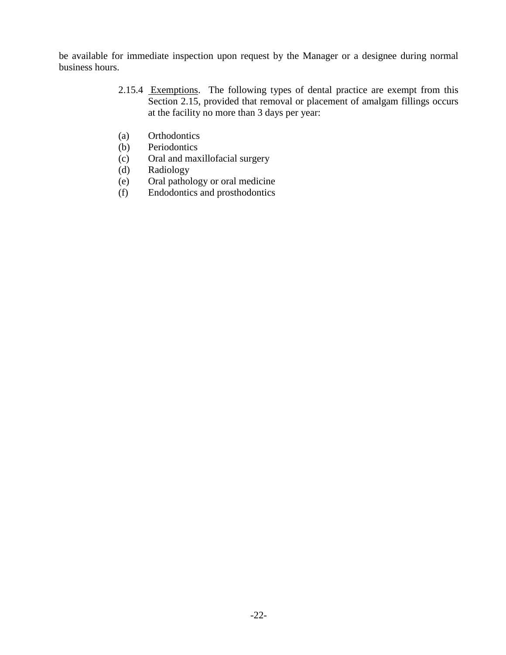be available for immediate inspection upon request by the Manager or a designee during normal business hours.

- 2.15.4 Exemptions. The following types of dental practice are exempt from this Section 2.15, provided that removal or placement of amalgam fillings occurs at the facility no more than 3 days per year:
- (a) Orthodontics
- (b) Periodontics
- (c) Oral and maxillofacial surgery
- (d) Radiology
- (e) Oral pathology or oral medicine
- (f) Endodontics and prosthodontics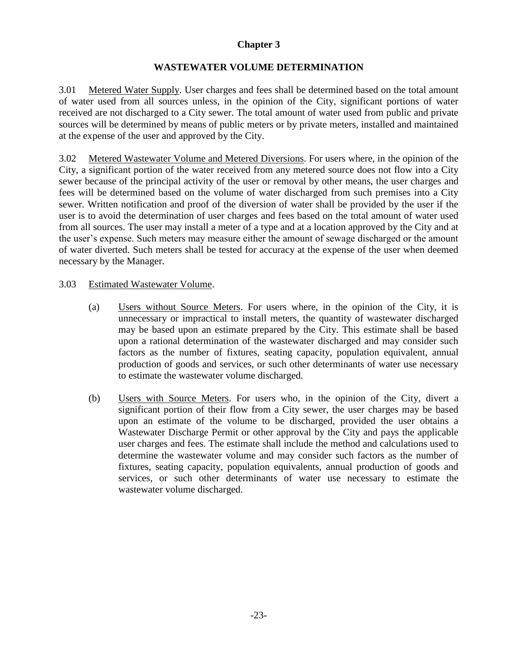# **WASTEWATER VOLUME DETERMINATION**

3.01 Metered Water Supply. User charges and fees shall be determined based on the total amount of water used from all sources unless, in the opinion of the City, significant portions of water received are not discharged to a City sewer. The total amount of water used from public and private sources will be determined by means of public meters or by private meters, installed and maintained at the expense of the user and approved by the City.

3.02 Metered Wastewater Volume and Metered Diversions. For users where, in the opinion of the City, a significant portion of the water received from any metered source does not flow into a City sewer because of the principal activity of the user or removal by other means, the user charges and fees will be determined based on the volume of water discharged from such premises into a City sewer. Written notification and proof of the diversion of water shall be provided by the user if the user is to avoid the determination of user charges and fees based on the total amount of water used from all sources. The user may install a meter of a type and at a location approved by the City and at the user's expense. Such meters may measure either the amount of sewage discharged or the amount of water diverted. Such meters shall be tested for accuracy at the expense of the user when deemed necessary by the Manager.

## 3.03 Estimated Wastewater Volume.

- (a) Users without Source Meters. For users where, in the opinion of the City, it is unnecessary or impractical to install meters, the quantity of wastewater discharged may be based upon an estimate prepared by the City. This estimate shall be based upon a rational determination of the wastewater discharged and may consider such factors as the number of fixtures, seating capacity, population equivalent, annual production of goods and services, or such other determinants of water use necessary to estimate the wastewater volume discharged.
- (b) Users with Source Meters. For users who, in the opinion of the City, divert a significant portion of their flow from a City sewer, the user charges may be based upon an estimate of the volume to be discharged, provided the user obtains a Wastewater Discharge Permit or other approval by the City and pays the applicable user charges and fees. The estimate shall include the method and calculations used to determine the wastewater volume and may consider such factors as the number of fixtures, seating capacity, population equivalents, annual production of goods and services, or such other determinants of water use necessary to estimate the wastewater volume discharged.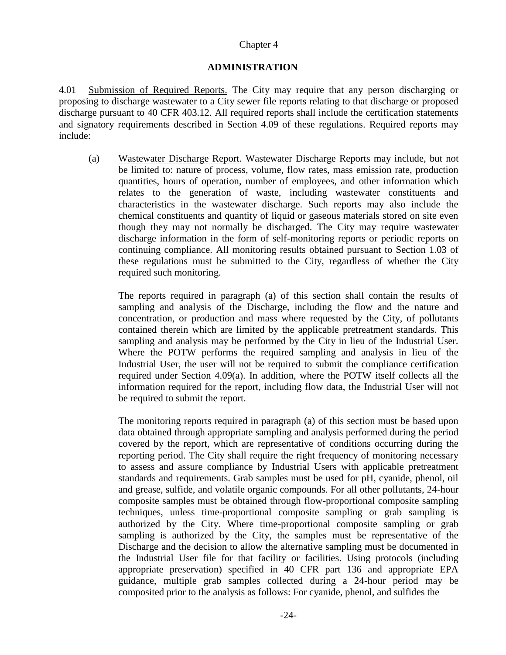## **ADMINISTRATION**

4.01 Submission of Required Reports. The City may require that any person discharging or proposing to discharge wastewater to a City sewer file reports relating to that discharge or proposed discharge pursuant to 40 CFR 403.12. All required reports shall include the certification statements and signatory requirements described in Section 4.09 of these regulations. Required reports may include:

(a) Wastewater Discharge Report. Wastewater Discharge Reports may include, but not be limited to: nature of process, volume, flow rates, mass emission rate, production quantities, hours of operation, number of employees, and other information which relates to the generation of waste, including wastewater constituents and characteristics in the wastewater discharge. Such reports may also include the chemical constituents and quantity of liquid or gaseous materials stored on site even though they may not normally be discharged. The City may require wastewater discharge information in the form of self-monitoring reports or periodic reports on continuing compliance. All monitoring results obtained pursuant to Section 1.03 of these regulations must be submitted to the City, regardless of whether the City required such monitoring.

The reports required in paragraph (a) of this section shall contain the results of sampling and analysis of the Discharge, including the flow and the nature and concentration, or production and mass where requested by the City, of pollutants contained therein which are limited by the applicable pretreatment standards. This sampling and analysis may be performed by the City in lieu of the Industrial User. Where the POTW performs the required sampling and analysis in lieu of the Industrial User, the user will not be required to submit the compliance certification required under Section 4.09(a). In addition, where the POTW itself collects all the information required for the report, including flow data, the Industrial User will not be required to submit the report.

The monitoring reports required in paragraph (a) of this section must be based upon data obtained through appropriate sampling and analysis performed during the period covered by the report, which are representative of conditions occurring during the reporting period. The City shall require the right frequency of monitoring necessary to assess and assure compliance by Industrial Users with applicable pretreatment standards and requirements. Grab samples must be used for pH, cyanide, phenol, oil and grease, sulfide, and volatile organic compounds. For all other pollutants, 24-hour composite samples must be obtained through flow-proportional composite sampling techniques, unless time-proportional composite sampling or grab sampling is authorized by the City. Where time-proportional composite sampling or grab sampling is authorized by the City, the samples must be representative of the Discharge and the decision to allow the alternative sampling must be documented in the Industrial User file for that facility or facilities. Using protocols (including appropriate preservation) specified in 40 CFR part 136 and appropriate EPA guidance, multiple grab samples collected during a 24-hour period may be composited prior to the analysis as follows: For cyanide, phenol, and sulfides the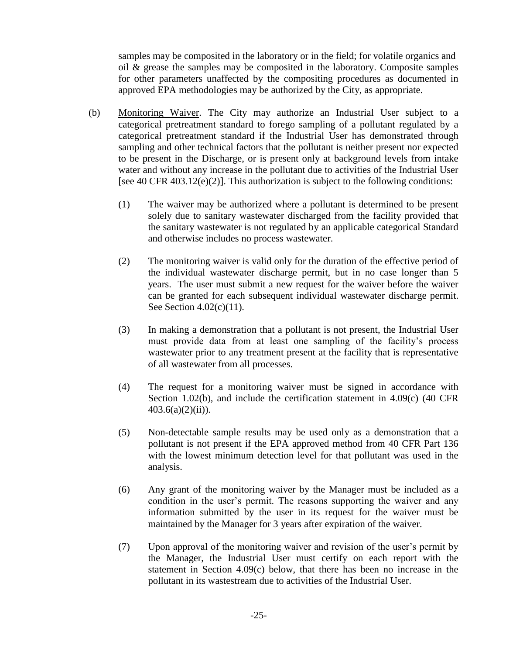samples may be composited in the laboratory or in the field; for volatile organics and oil  $\&$  grease the samples may be composited in the laboratory. Composite samples for other parameters unaffected by the compositing procedures as documented in approved EPA methodologies may be authorized by the City, as appropriate.

- (b) Monitoring Waiver. The City may authorize an Industrial User subject to a categorical pretreatment standard to forego sampling of a pollutant regulated by a categorical pretreatment standard if the Industrial User has demonstrated through sampling and other technical factors that the pollutant is neither present nor expected to be present in the Discharge, or is present only at background levels from intake water and without any increase in the pollutant due to activities of the Industrial User [see 40 CFR 403.12(e)(2)]. This authorization is subject to the following conditions:
	- (1) The waiver may be authorized where a pollutant is determined to be present solely due to sanitary wastewater discharged from the facility provided that the sanitary wastewater is not regulated by an applicable categorical Standard and otherwise includes no process wastewater.
	- (2) The monitoring waiver is valid only for the duration of the effective period of the individual wastewater discharge permit, but in no case longer than 5 years. The user must submit a new request for the waiver before the waiver can be granted for each subsequent individual wastewater discharge permit. See Section 4.02(c)(11).
	- (3) In making a demonstration that a pollutant is not present, the Industrial User must provide data from at least one sampling of the facility's process wastewater prior to any treatment present at the facility that is representative of all wastewater from all processes.
	- (4) The request for a monitoring waiver must be signed in accordance with Section 1.02(b), and include the certification statement in 4.09(c) (40 CFR  $403.6(a)(2)(ii)$ ).
	- (5) Non-detectable sample results may be used only as a demonstration that a pollutant is not present if the EPA approved method from 40 CFR Part 136 with the lowest minimum detection level for that pollutant was used in the analysis.
	- (6) Any grant of the monitoring waiver by the Manager must be included as a condition in the user's permit. The reasons supporting the waiver and any information submitted by the user in its request for the waiver must be maintained by the Manager for 3 years after expiration of the waiver.
	- (7) Upon approval of the monitoring waiver and revision of the user's permit by the Manager, the Industrial User must certify on each report with the statement in Section 4.09(c) below, that there has been no increase in the pollutant in its wastestream due to activities of the Industrial User.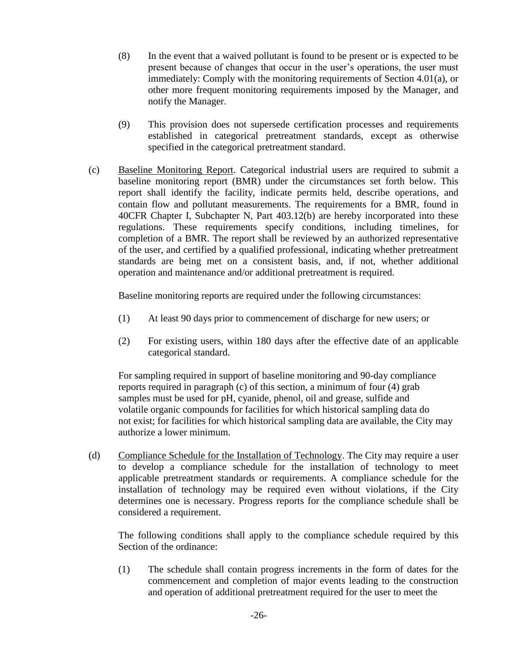- (8) In the event that a waived pollutant is found to be present or is expected to be present because of changes that occur in the user's operations, the user must immediately: Comply with the monitoring requirements of Section 4.01(a), or other more frequent monitoring requirements imposed by the Manager, and notify the Manager.
- (9) This provision does not supersede certification processes and requirements established in categorical pretreatment standards, except as otherwise specified in the categorical pretreatment standard.
- (c) Baseline Monitoring Report. Categorical industrial users are required to submit a baseline monitoring report (BMR) under the circumstances set forth below. This report shall identify the facility, indicate permits held, describe operations, and contain flow and pollutant measurements. The requirements for a BMR, found in 40CFR Chapter I, Subchapter N, Part 403.12(b) are hereby incorporated into these regulations. These requirements specify conditions, including timelines, for completion of a BMR. The report shall be reviewed by an authorized representative of the user, and certified by a qualified professional, indicating whether pretreatment standards are being met on a consistent basis, and, if not, whether additional operation and maintenance and/or additional pretreatment is required.

Baseline monitoring reports are required under the following circumstances:

- (1) At least 90 days prior to commencement of discharge for new users; or
- (2) For existing users, within 180 days after the effective date of an applicable categorical standard.

For sampling required in support of baseline monitoring and 90-day compliance reports required in paragraph (c) of this section, a minimum of four (4) grab samples must be used for pH, cyanide, phenol, oil and grease, sulfide and volatile organic compounds for facilities for which historical sampling data do not exist; for facilities for which historical sampling data are available, the City may authorize a lower minimum.

(d) Compliance Schedule for the Installation of Technology. The City may require a user to develop a compliance schedule for the installation of technology to meet applicable pretreatment standards or requirements. A compliance schedule for the installation of technology may be required even without violations, if the City determines one is necessary. Progress reports for the compliance schedule shall be considered a requirement.

The following conditions shall apply to the compliance schedule required by this Section of the ordinance:

(1) The schedule shall contain progress increments in the form of dates for the commencement and completion of major events leading to the construction and operation of additional pretreatment required for the user to meet the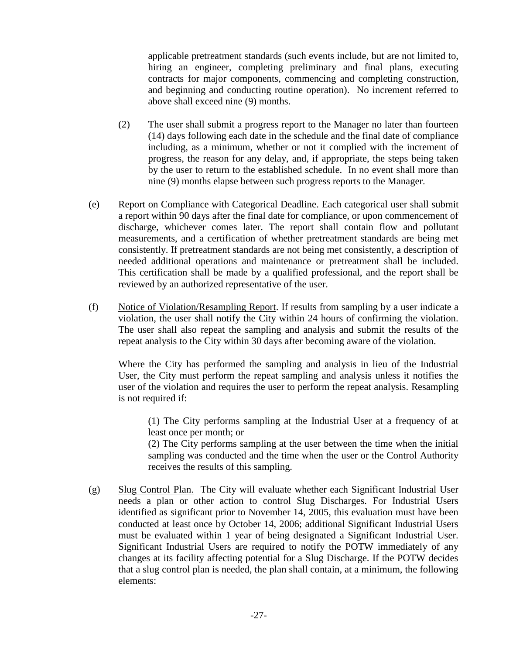applicable pretreatment standards (such events include, but are not limited to, hiring an engineer, completing preliminary and final plans, executing contracts for major components, commencing and completing construction, and beginning and conducting routine operation). No increment referred to above shall exceed nine (9) months.

- (2) The user shall submit a progress report to the Manager no later than fourteen (14) days following each date in the schedule and the final date of compliance including, as a minimum, whether or not it complied with the increment of progress, the reason for any delay, and, if appropriate, the steps being taken by the user to return to the established schedule. In no event shall more than nine (9) months elapse between such progress reports to the Manager.
- (e) Report on Compliance with Categorical Deadline. Each categorical user shall submit a report within 90 days after the final date for compliance, or upon commencement of discharge, whichever comes later. The report shall contain flow and pollutant measurements, and a certification of whether pretreatment standards are being met consistently. If pretreatment standards are not being met consistently, a description of needed additional operations and maintenance or pretreatment shall be included. This certification shall be made by a qualified professional, and the report shall be reviewed by an authorized representative of the user.
- (f) Notice of Violation/Resampling Report. If results from sampling by a user indicate a violation, the user shall notify the City within 24 hours of confirming the violation. The user shall also repeat the sampling and analysis and submit the results of the repeat analysis to the City within 30 days after becoming aware of the violation.

Where the City has performed the sampling and analysis in lieu of the Industrial User, the City must perform the repeat sampling and analysis unless it notifies the user of the violation and requires the user to perform the repeat analysis. Resampling is not required if:

(1) The City performs sampling at the Industrial User at a frequency of at least once per month; or

(2) The City performs sampling at the user between the time when the initial sampling was conducted and the time when the user or the Control Authority receives the results of this sampling.

(g) Slug Control Plan. The City will evaluate whether each Significant Industrial User needs a plan or other action to control Slug Discharges. For Industrial Users identified as significant prior to November 14, 2005, this evaluation must have been conducted at least once by October 14, 2006; additional Significant Industrial Users must be evaluated within 1 year of being designated a Significant Industrial User. Significant Industrial Users are required to notify the POTW immediately of any changes at its facility affecting potential for a Slug Discharge. If the POTW decides that a slug control plan is needed, the plan shall contain, at a minimum, the following elements: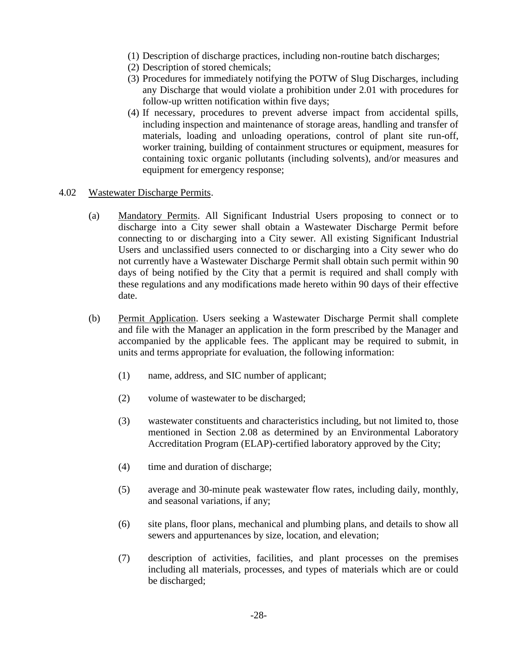- (1) Description of discharge practices, including non-routine batch discharges;
- (2) Description of stored chemicals;
- (3) Procedures for immediately notifying the POTW of Slug Discharges, including any Discharge that would violate a prohibition under 2.01 with procedures for follow-up written notification within five days;
- (4) If necessary, procedures to prevent adverse impact from accidental spills, including inspection and maintenance of storage areas, handling and transfer of materials, loading and unloading operations, control of plant site run-off, worker training, building of containment structures or equipment, measures for containing toxic organic pollutants (including solvents), and/or measures and equipment for emergency response;

### 4.02 Wastewater Discharge Permits.

- (a) Mandatory Permits. All Significant Industrial Users proposing to connect or to discharge into a City sewer shall obtain a Wastewater Discharge Permit before connecting to or discharging into a City sewer. All existing Significant Industrial Users and unclassified users connected to or discharging into a City sewer who do not currently have a Wastewater Discharge Permit shall obtain such permit within 90 days of being notified by the City that a permit is required and shall comply with these regulations and any modifications made hereto within 90 days of their effective date.
- (b) Permit Application. Users seeking a Wastewater Discharge Permit shall complete and file with the Manager an application in the form prescribed by the Manager and accompanied by the applicable fees. The applicant may be required to submit, in units and terms appropriate for evaluation, the following information:
	- (1) name, address, and SIC number of applicant;
	- (2) volume of wastewater to be discharged;
	- (3) wastewater constituents and characteristics including, but not limited to, those mentioned in Section 2.08 as determined by an Environmental Laboratory Accreditation Program (ELAP)-certified laboratory approved by the City;
	- (4) time and duration of discharge;
	- (5) average and 30-minute peak wastewater flow rates, including daily, monthly, and seasonal variations, if any;
	- (6) site plans, floor plans, mechanical and plumbing plans, and details to show all sewers and appurtenances by size, location, and elevation;
	- (7) description of activities, facilities, and plant processes on the premises including all materials, processes, and types of materials which are or could be discharged;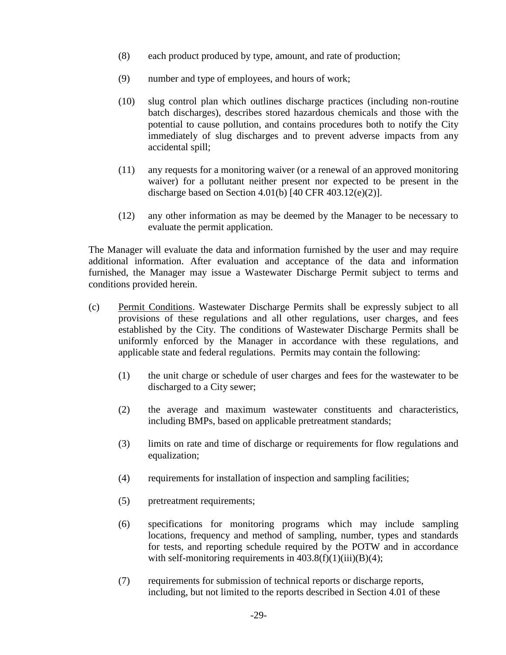- (8) each product produced by type, amount, and rate of production;
- (9) number and type of employees, and hours of work;
- (10) slug control plan which outlines discharge practices (including non-routine batch discharges), describes stored hazardous chemicals and those with the potential to cause pollution, and contains procedures both to notify the City immediately of slug discharges and to prevent adverse impacts from any accidental spill;
- (11) any requests for a monitoring waiver (or a renewal of an approved monitoring waiver) for a pollutant neither present nor expected to be present in the discharge based on Section 4.01(b) [40 CFR 403.12(e)(2)].
- (12) any other information as may be deemed by the Manager to be necessary to evaluate the permit application.

The Manager will evaluate the data and information furnished by the user and may require additional information. After evaluation and acceptance of the data and information furnished, the Manager may issue a Wastewater Discharge Permit subject to terms and conditions provided herein.

- (c) Permit Conditions. Wastewater Discharge Permits shall be expressly subject to all provisions of these regulations and all other regulations, user charges, and fees established by the City. The conditions of Wastewater Discharge Permits shall be uniformly enforced by the Manager in accordance with these regulations, and applicable state and federal regulations. Permits may contain the following:
	- (1) the unit charge or schedule of user charges and fees for the wastewater to be discharged to a City sewer;
	- (2) the average and maximum wastewater constituents and characteristics, including BMPs, based on applicable pretreatment standards;
	- (3) limits on rate and time of discharge or requirements for flow regulations and equalization;
	- (4) requirements for installation of inspection and sampling facilities;
	- (5) pretreatment requirements;
	- (6) specifications for monitoring programs which may include sampling locations, frequency and method of sampling, number, types and standards for tests, and reporting schedule required by the POTW and in accordance with self-monitoring requirements in  $403.8(f)(1)(iii)(B)(4);$
	- (7) requirements for submission of technical reports or discharge reports, including, but not limited to the reports described in Section 4.01 of these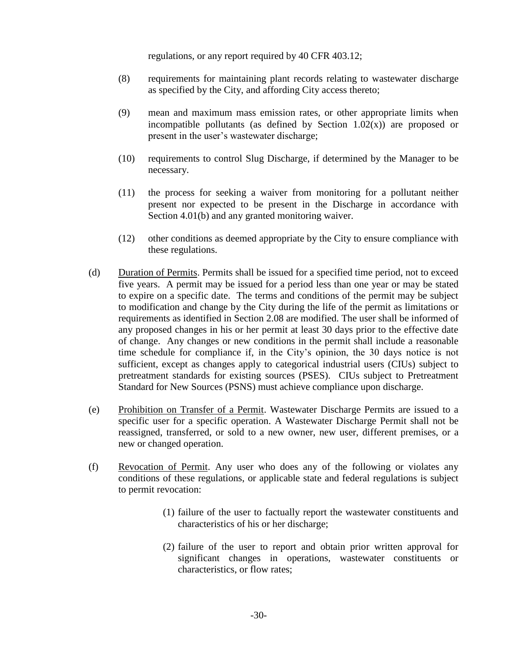regulations, or any report required by 40 CFR 403.12;

- (8) requirements for maintaining plant records relating to wastewater discharge as specified by the City, and affording City access thereto;
- (9) mean and maximum mass emission rates, or other appropriate limits when incompatible pollutants (as defined by Section  $1.02(x)$ ) are proposed or present in the user's wastewater discharge;
- (10) requirements to control Slug Discharge, if determined by the Manager to be necessary.
- (11) the process for seeking a waiver from monitoring for a pollutant neither present nor expected to be present in the Discharge in accordance with Section 4.01(b) and any granted monitoring waiver.
- (12) other conditions as deemed appropriate by the City to ensure compliance with these regulations.
- (d) Duration of Permits. Permits shall be issued for a specified time period, not to exceed five years. A permit may be issued for a period less than one year or may be stated to expire on a specific date. The terms and conditions of the permit may be subject to modification and change by the City during the life of the permit as limitations or requirements as identified in Section 2.08 are modified. The user shall be informed of any proposed changes in his or her permit at least 30 days prior to the effective date of change. Any changes or new conditions in the permit shall include a reasonable time schedule for compliance if, in the City's opinion, the 30 days notice is not sufficient, except as changes apply to categorical industrial users (CIUs) subject to pretreatment standards for existing sources (PSES). CIUs subject to Pretreatment Standard for New Sources (PSNS) must achieve compliance upon discharge.
- (e) Prohibition on Transfer of a Permit. Wastewater Discharge Permits are issued to a specific user for a specific operation. A Wastewater Discharge Permit shall not be reassigned, transferred, or sold to a new owner, new user, different premises, or a new or changed operation.
- (f) Revocation of Permit. Any user who does any of the following or violates any conditions of these regulations, or applicable state and federal regulations is subject to permit revocation:
	- (1) failure of the user to factually report the wastewater constituents and characteristics of his or her discharge;
	- (2) failure of the user to report and obtain prior written approval for significant changes in operations, wastewater constituents or characteristics, or flow rates;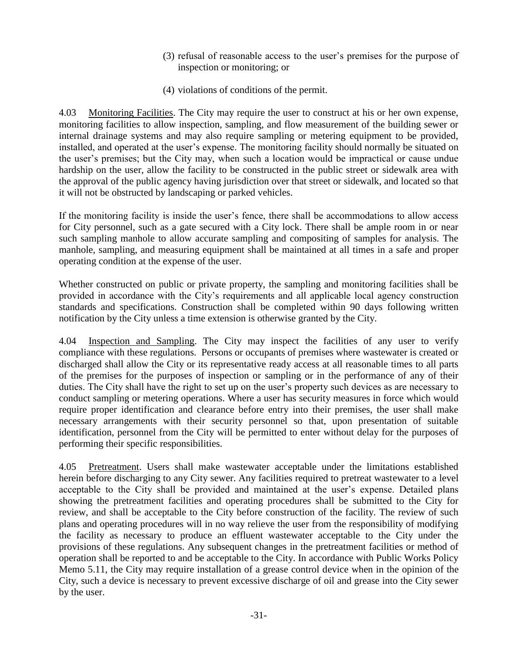- (3) refusal of reasonable access to the user's premises for the purpose of inspection or monitoring; or
- (4) violations of conditions of the permit.

4.03 Monitoring Facilities. The City may require the user to construct at his or her own expense, monitoring facilities to allow inspection, sampling, and flow measurement of the building sewer or internal drainage systems and may also require sampling or metering equipment to be provided, installed, and operated at the user's expense. The monitoring facility should normally be situated on the user's premises; but the City may, when such a location would be impractical or cause undue hardship on the user, allow the facility to be constructed in the public street or sidewalk area with the approval of the public agency having jurisdiction over that street or sidewalk, and located so that it will not be obstructed by landscaping or parked vehicles.

If the monitoring facility is inside the user's fence, there shall be accommodations to allow access for City personnel, such as a gate secured with a City lock. There shall be ample room in or near such sampling manhole to allow accurate sampling and compositing of samples for analysis. The manhole, sampling, and measuring equipment shall be maintained at all times in a safe and proper operating condition at the expense of the user.

Whether constructed on public or private property, the sampling and monitoring facilities shall be provided in accordance with the City's requirements and all applicable local agency construction standards and specifications. Construction shall be completed within 90 days following written notification by the City unless a time extension is otherwise granted by the City.

4.04 Inspection and Sampling. The City may inspect the facilities of any user to verify compliance with these regulations. Persons or occupants of premises where wastewater is created or discharged shall allow the City or its representative ready access at all reasonable times to all parts of the premises for the purposes of inspection or sampling or in the performance of any of their duties. The City shall have the right to set up on the user's property such devices as are necessary to conduct sampling or metering operations. Where a user has security measures in force which would require proper identification and clearance before entry into their premises, the user shall make necessary arrangements with their security personnel so that, upon presentation of suitable identification, personnel from the City will be permitted to enter without delay for the purposes of performing their specific responsibilities.

4.05 Pretreatment. Users shall make wastewater acceptable under the limitations established herein before discharging to any City sewer. Any facilities required to pretreat wastewater to a level acceptable to the City shall be provided and maintained at the user's expense. Detailed plans showing the pretreatment facilities and operating procedures shall be submitted to the City for review, and shall be acceptable to the City before construction of the facility. The review of such plans and operating procedures will in no way relieve the user from the responsibility of modifying the facility as necessary to produce an effluent wastewater acceptable to the City under the provisions of these regulations. Any subsequent changes in the pretreatment facilities or method of operation shall be reported to and be acceptable to the City. In accordance with Public Works Policy Memo 5.11, the City may require installation of a grease control device when in the opinion of the City, such a device is necessary to prevent excessive discharge of oil and grease into the City sewer by the user.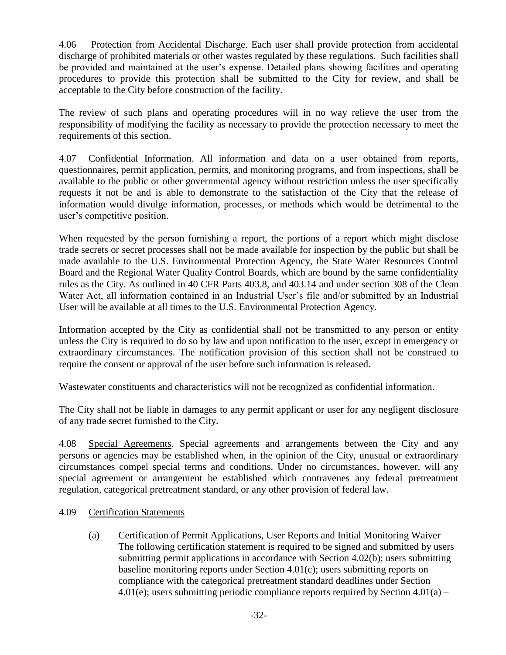4.06 Protection from Accidental Discharge. Each user shall provide protection from accidental discharge of prohibited materials or other wastes regulated by these regulations. Such facilities shall be provided and maintained at the user's expense. Detailed plans showing facilities and operating procedures to provide this protection shall be submitted to the City for review, and shall be acceptable to the City before construction of the facility.

The review of such plans and operating procedures will in no way relieve the user from the responsibility of modifying the facility as necessary to provide the protection necessary to meet the requirements of this section.

4.07 Confidential Information. All information and data on a user obtained from reports, questionnaires, permit application, permits, and monitoring programs, and from inspections, shall be available to the public or other governmental agency without restriction unless the user specifically requests it not be and is able to demonstrate to the satisfaction of the City that the release of information would divulge information, processes, or methods which would be detrimental to the user's competitive position.

When requested by the person furnishing a report, the portions of a report which might disclose trade secrets or secret processes shall not be made available for inspection by the public but shall be made available to the U.S. Environmental Protection Agency, the State Water Resources Control Board and the Regional Water Quality Control Boards, which are bound by the same confidentiality rules as the City. As outlined in 40 CFR Parts 403.8, and 403.14 and under section 308 of the Clean Water Act, all information contained in an Industrial User's file and/or submitted by an Industrial User will be available at all times to the U.S. Environmental Protection Agency.

Information accepted by the City as confidential shall not be transmitted to any person or entity unless the City is required to do so by law and upon notification to the user, except in emergency or extraordinary circumstances. The notification provision of this section shall not be construed to require the consent or approval of the user before such information is released.

Wastewater constituents and characteristics will not be recognized as confidential information.

The City shall not be liable in damages to any permit applicant or user for any negligent disclosure of any trade secret furnished to the City.

4.08 Special Agreements. Special agreements and arrangements between the City and any persons or agencies may be established when, in the opinion of the City, unusual or extraordinary circumstances compel special terms and conditions. Under no circumstances, however, will any special agreement or arrangement be established which contravenes any federal pretreatment regulation, categorical pretreatment standard, or any other provision of federal law.

## 4.09 Certification Statements

(a) Certification of Permit Applications, User Reports and Initial Monitoring Waiver— The following certification statement is required to be signed and submitted by users submitting permit applications in accordance with Section 4.02(b); users submitting baseline monitoring reports under Section 4.01(c); users submitting reports on compliance with the categorical pretreatment standard deadlines under Section 4.01(e); users submitting periodic compliance reports required by Section  $4.01(a)$  –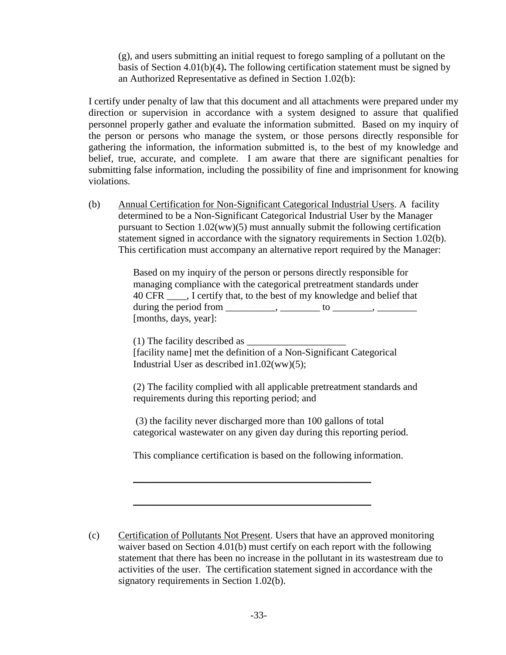(g), and users submitting an initial request to forego sampling of a pollutant on the basis of Section 4.01(b)(4)**.** The following certification statement must be signed by an Authorized Representative as defined in Section 1.02(b):

I certify under penalty of law that this document and all attachments were prepared under my direction or supervision in accordance with a system designed to assure that qualified personnel properly gather and evaluate the information submitted. Based on my inquiry of the person or persons who manage the system, or those persons directly responsible for gathering the information, the information submitted is, to the best of my knowledge and belief, true, accurate, and complete. I am aware that there are significant penalties for submitting false information, including the possibility of fine and imprisonment for knowing violations.

(b) Annual Certification for Non-Significant Categorical Industrial Users. A facility determined to be a Non-Significant Categorical Industrial User by the Manager pursuant to Section 1.02(ww)(5) must annually submit the following certification statement signed in accordance with the signatory requirements in Section 1.02(b). This certification must accompany an alternative report required by the Manager:

> Based on my inquiry of the person or persons directly responsible for managing compliance with the categorical pretreatment standards under 40 CFR \_\_\_\_, I certify that, to the best of my knowledge and belief that during the period from  $\frac{1}{\sqrt{1-\frac{1}{2}}}\left[\frac{1}{\sqrt{1-\frac{1}{2}}}\right]$  to  $\frac{1}{\sqrt{1-\frac{1}{2}}}\left[\frac{1}{\sqrt{1-\frac{1}{2}}}\right]$ [months, days, year]:

 $(1)$  The facility described as  $\Box$ [facility name] met the definition of a Non-Significant Categorical Industrial User as described in1.02(ww)(5);

(2) The facility complied with all applicable pretreatment standards and requirements during this reporting period; and

(3) the facility never discharged more than 100 gallons of total categorical wastewater on any given day during this reporting period.

This compliance certification is based on the following information.

\_\_\_\_\_\_\_\_\_\_\_\_\_\_\_\_\_\_\_\_\_\_\_\_\_\_\_\_\_\_\_\_\_\_\_\_\_\_\_\_\_\_\_\_\_\_\_\_

\_\_\_\_\_\_\_\_\_\_\_\_\_\_\_\_\_\_\_\_\_\_\_\_\_\_\_\_\_\_\_\_\_\_\_\_\_\_\_\_\_\_\_\_\_\_\_\_

(c) Certification of Pollutants Not Present. Users that have an approved monitoring waiver based on Section 4.01(b) must certify on each report with the following statement that there has been no increase in the pollutant in its wastestream due to activities of the user. The certification statement signed in accordance with the signatory requirements in Section 1.02(b).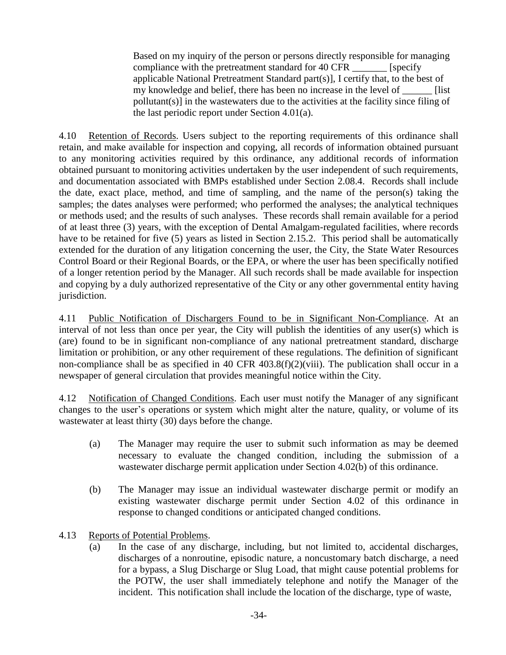Based on my inquiry of the person or persons directly responsible for managing compliance with the pretreatment standard for 40 CFR \_\_\_\_\_\_\_ [specify applicable National Pretreatment Standard part(s)], I certify that, to the best of my knowledge and belief, there has been no increase in the level of \_\_\_\_\_\_ [list pollutant(s)] in the wastewaters due to the activities at the facility since filing of the last periodic report under Section 4.01(a).

4.10 Retention of Records. Users subject to the reporting requirements of this ordinance shall retain, and make available for inspection and copying, all records of information obtained pursuant to any monitoring activities required by this ordinance, any additional records of information obtained pursuant to monitoring activities undertaken by the user independent of such requirements, and documentation associated with BMPs established under Section 2.08.4. Records shall include the date, exact place, method, and time of sampling, and the name of the person(s) taking the samples; the dates analyses were performed; who performed the analyses; the analytical techniques or methods used; and the results of such analyses. These records shall remain available for a period of at least three (3) years, with the exception of Dental Amalgam-regulated facilities, where records have to be retained for five (5) years as listed in Section 2.15.2. This period shall be automatically extended for the duration of any litigation concerning the user, the City, the State Water Resources Control Board or their Regional Boards, or the EPA, or where the user has been specifically notified of a longer retention period by the Manager. All such records shall be made available for inspection and copying by a duly authorized representative of the City or any other governmental entity having jurisdiction.

4.11 Public Notification of Dischargers Found to be in Significant Non-Compliance. At an interval of not less than once per year, the City will publish the identities of any user(s) which is (are) found to be in significant non-compliance of any national pretreatment standard, discharge limitation or prohibition, or any other requirement of these regulations. The definition of significant non-compliance shall be as specified in 40 CFR 403.8(f)(2)(viii). The publication shall occur in a newspaper of general circulation that provides meaningful notice within the City.

4.12 Notification of Changed Conditions. Each user must notify the Manager of any significant changes to the user's operations or system which might alter the nature, quality, or volume of its wastewater at least thirty (30) days before the change.

- (a) The Manager may require the user to submit such information as may be deemed necessary to evaluate the changed condition, including the submission of a wastewater discharge permit application under Section 4.02(b) of this ordinance.
- (b) The Manager may issue an individual wastewater discharge permit or modify an existing wastewater discharge permit under Section 4.02 of this ordinance in response to changed conditions or anticipated changed conditions.
- 4.13 Reports of Potential Problems.
	- (a) In the case of any discharge, including, but not limited to, accidental discharges, discharges of a nonroutine, episodic nature, a noncustomary batch discharge, a need for a bypass, a Slug Discharge or Slug Load, that might cause potential problems for the POTW, the user shall immediately telephone and notify the Manager of the incident. This notification shall include the location of the discharge, type of waste,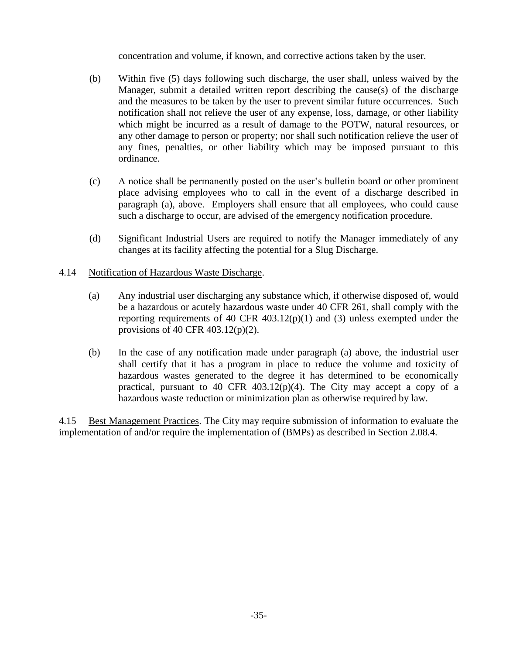concentration and volume, if known, and corrective actions taken by the user.

- (b) Within five (5) days following such discharge, the user shall, unless waived by the Manager, submit a detailed written report describing the cause(s) of the discharge and the measures to be taken by the user to prevent similar future occurrences. Such notification shall not relieve the user of any expense, loss, damage, or other liability which might be incurred as a result of damage to the POTW, natural resources, or any other damage to person or property; nor shall such notification relieve the user of any fines, penalties, or other liability which may be imposed pursuant to this ordinance.
- (c) A notice shall be permanently posted on the user's bulletin board or other prominent place advising employees who to call in the event of a discharge described in paragraph (a), above. Employers shall ensure that all employees, who could cause such a discharge to occur, are advised of the emergency notification procedure.
- (d) Significant Industrial Users are required to notify the Manager immediately of any changes at its facility affecting the potential for a Slug Discharge.
- 4.14 Notification of Hazardous Waste Discharge.
	- (a) Any industrial user discharging any substance which, if otherwise disposed of, would be a hazardous or acutely hazardous waste under 40 CFR 261, shall comply with the reporting requirements of 40 CFR 403.12(p)(1) and (3) unless exempted under the provisions of 40 CFR 403.12(p)(2).
	- (b) In the case of any notification made under paragraph (a) above, the industrial user shall certify that it has a program in place to reduce the volume and toxicity of hazardous wastes generated to the degree it has determined to be economically practical, pursuant to 40 CFR 403.12(p)(4). The City may accept a copy of a hazardous waste reduction or minimization plan as otherwise required by law.

4.15 Best Management Practices. The City may require submission of information to evaluate the implementation of and/or require the implementation of (BMPs) as described in Section 2.08.4.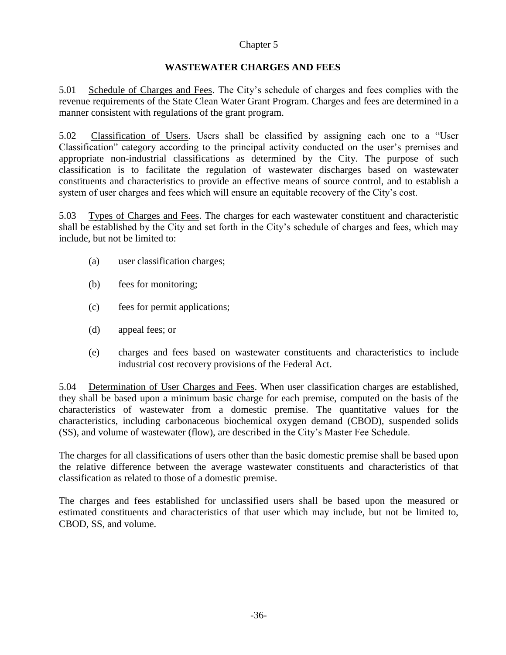# **WASTEWATER CHARGES AND FEES**

5.01 Schedule of Charges and Fees. The City's schedule of charges and fees complies with the revenue requirements of the State Clean Water Grant Program. Charges and fees are determined in a manner consistent with regulations of the grant program.

5.02 Classification of Users. Users shall be classified by assigning each one to a "User Classification" category according to the principal activity conducted on the user's premises and appropriate non-industrial classifications as determined by the City. The purpose of such classification is to facilitate the regulation of wastewater discharges based on wastewater constituents and characteristics to provide an effective means of source control, and to establish a system of user charges and fees which will ensure an equitable recovery of the City's cost.

5.03 Types of Charges and Fees. The charges for each wastewater constituent and characteristic shall be established by the City and set forth in the City's schedule of charges and fees, which may include, but not be limited to:

- (a) user classification charges;
- (b) fees for monitoring;
- (c) fees for permit applications;
- (d) appeal fees; or
- (e) charges and fees based on wastewater constituents and characteristics to include industrial cost recovery provisions of the Federal Act.

5.04 Determination of User Charges and Fees. When user classification charges are established, they shall be based upon a minimum basic charge for each premise, computed on the basis of the characteristics of wastewater from a domestic premise. The quantitative values for the characteristics, including carbonaceous biochemical oxygen demand (CBOD), suspended solids (SS), and volume of wastewater (flow), are described in the City's Master Fee Schedule.

The charges for all classifications of users other than the basic domestic premise shall be based upon the relative difference between the average wastewater constituents and characteristics of that classification as related to those of a domestic premise.

The charges and fees established for unclassified users shall be based upon the measured or estimated constituents and characteristics of that user which may include, but not be limited to, CBOD, SS, and volume.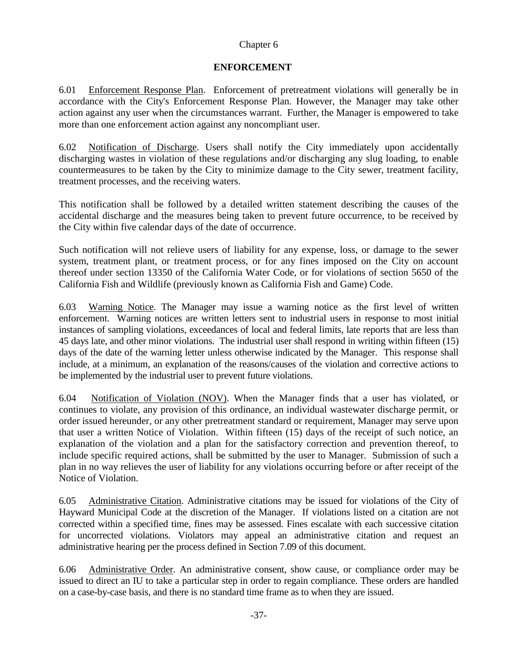# **ENFORCEMENT**

6.01 Enforcement Response Plan. Enforcement of pretreatment violations will generally be in accordance with the City's Enforcement Response Plan. However, the Manager may take other action against any user when the circumstances warrant. Further, the Manager is empowered to take more than one enforcement action against any noncompliant user.

6.02 Notification of Discharge. Users shall notify the City immediately upon accidentally discharging wastes in violation of these regulations and/or discharging any slug loading, to enable countermeasures to be taken by the City to minimize damage to the City sewer, treatment facility, treatment processes, and the receiving waters.

This notification shall be followed by a detailed written statement describing the causes of the accidental discharge and the measures being taken to prevent future occurrence, to be received by the City within five calendar days of the date of occurrence.

Such notification will not relieve users of liability for any expense, loss, or damage to the sewer system, treatment plant, or treatment process, or for any fines imposed on the City on account thereof under section 13350 of the California Water Code, or for violations of section 5650 of the California Fish and Wildlife (previously known as California Fish and Game) Code.

6.03 Warning Notice. The Manager may issue a warning notice as the first level of written enforcement. Warning notices are written letters sent to industrial users in response to most initial instances of sampling violations, exceedances of local and federal limits, late reports that are less than 45 days late, and other minor violations. The industrial user shall respond in writing within fifteen (15) days of the date of the warning letter unless otherwise indicated by the Manager. This response shall include, at a minimum, an explanation of the reasons/causes of the violation and corrective actions to be implemented by the industrial user to prevent future violations.

6.04 Notification of Violation (NOV). When the Manager finds that a user has violated, or continues to violate, any provision of this ordinance, an individual wastewater discharge permit, or order issued hereunder, or any other pretreatment standard or requirement, Manager may serve upon that user a written Notice of Violation. Within fifteen (15) days of the receipt of such notice, an explanation of the violation and a plan for the satisfactory correction and prevention thereof, to include specific required actions, shall be submitted by the user to Manager. Submission of such a plan in no way relieves the user of liability for any violations occurring before or after receipt of the Notice of Violation.

6.05 Administrative Citation. Administrative citations may be issued for violations of the City of Hayward Municipal Code at the discretion of the Manager. If violations listed on a citation are not corrected within a specified time, fines may be assessed. Fines escalate with each successive citation for uncorrected violations. Violators may appeal an administrative citation and request an administrative hearing per the process defined in Section 7.09 of this document.

6.06 Administrative Order. An administrative consent, show cause, or compliance order may be issued to direct an IU to take a particular step in order to regain compliance. These orders are handled on a case-by-case basis, and there is no standard time frame as to when they are issued.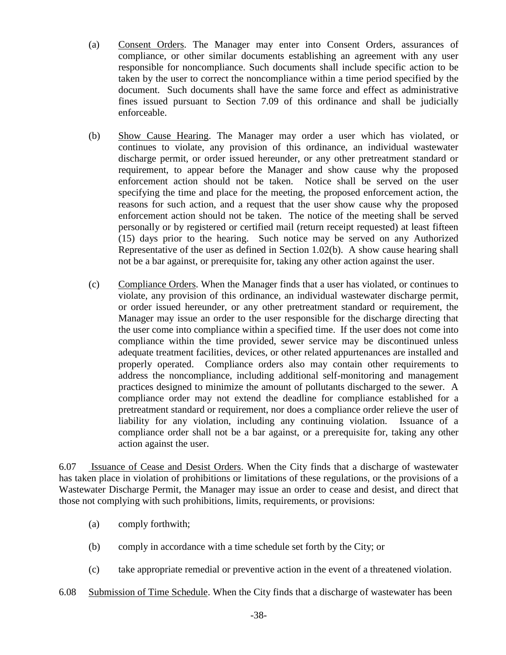- (a) Consent Orders. The Manager may enter into Consent Orders, assurances of compliance, or other similar documents establishing an agreement with any user responsible for noncompliance. Such documents shall include specific action to be taken by the user to correct the noncompliance within a time period specified by the document. Such documents shall have the same force and effect as administrative fines issued pursuant to Section 7.09 of this ordinance and shall be judicially enforceable.
- (b) Show Cause Hearing. The Manager may order a user which has violated, or continues to violate, any provision of this ordinance, an individual wastewater discharge permit, or order issued hereunder, or any other pretreatment standard or requirement, to appear before the Manager and show cause why the proposed enforcement action should not be taken. Notice shall be served on the user specifying the time and place for the meeting, the proposed enforcement action, the reasons for such action, and a request that the user show cause why the proposed enforcement action should not be taken. The notice of the meeting shall be served personally or by registered or certified mail (return receipt requested) at least fifteen (15) days prior to the hearing. Such notice may be served on any Authorized Representative of the user as defined in Section 1.02(b). A show cause hearing shall not be a bar against, or prerequisite for, taking any other action against the user.
- (c) Compliance Orders. When the Manager finds that a user has violated, or continues to violate, any provision of this ordinance, an individual wastewater discharge permit, or order issued hereunder, or any other pretreatment standard or requirement, the Manager may issue an order to the user responsible for the discharge directing that the user come into compliance within a specified time. If the user does not come into compliance within the time provided, sewer service may be discontinued unless adequate treatment facilities, devices, or other related appurtenances are installed and properly operated. Compliance orders also may contain other requirements to address the noncompliance, including additional self-monitoring and management practices designed to minimize the amount of pollutants discharged to the sewer. A compliance order may not extend the deadline for compliance established for a pretreatment standard or requirement, nor does a compliance order relieve the user of liability for any violation, including any continuing violation. Issuance of a compliance order shall not be a bar against, or a prerequisite for, taking any other action against the user.

6.07 Issuance of Cease and Desist Orders. When the City finds that a discharge of wastewater has taken place in violation of prohibitions or limitations of these regulations, or the provisions of a Wastewater Discharge Permit, the Manager may issue an order to cease and desist, and direct that those not complying with such prohibitions, limits, requirements, or provisions:

- (a) comply forthwith;
- (b) comply in accordance with a time schedule set forth by the City; or
- (c) take appropriate remedial or preventive action in the event of a threatened violation.
- 6.08 Submission of Time Schedule. When the City finds that a discharge of wastewater has been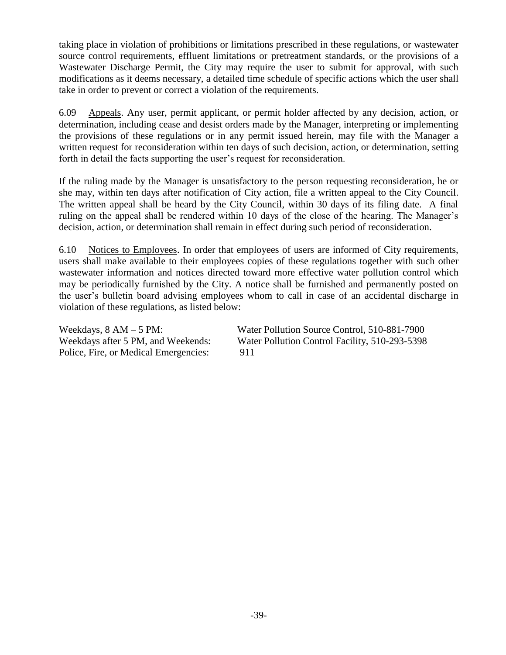taking place in violation of prohibitions or limitations prescribed in these regulations, or wastewater source control requirements, effluent limitations or pretreatment standards, or the provisions of a Wastewater Discharge Permit, the City may require the user to submit for approval, with such modifications as it deems necessary, a detailed time schedule of specific actions which the user shall take in order to prevent or correct a violation of the requirements.

6.09 Appeals. Any user, permit applicant, or permit holder affected by any decision, action, or determination, including cease and desist orders made by the Manager, interpreting or implementing the provisions of these regulations or in any permit issued herein, may file with the Manager a written request for reconsideration within ten days of such decision, action, or determination, setting forth in detail the facts supporting the user's request for reconsideration.

If the ruling made by the Manager is unsatisfactory to the person requesting reconsideration, he or she may, within ten days after notification of City action, file a written appeal to the City Council. The written appeal shall be heard by the City Council, within 30 days of its filing date. A final ruling on the appeal shall be rendered within 10 days of the close of the hearing. The Manager's decision, action, or determination shall remain in effect during such period of reconsideration.

6.10 Notices to Employees. In order that employees of users are informed of City requirements, users shall make available to their employees copies of these regulations together with such other wastewater information and notices directed toward more effective water pollution control which may be periodically furnished by the City. A notice shall be furnished and permanently posted on the user's bulletin board advising employees whom to call in case of an accidental discharge in violation of these regulations, as listed below:

| Weekdays, $8 AM - 5 PM$ :             | Water Pollution Source Control, 510-881-7900   |
|---------------------------------------|------------------------------------------------|
| Weekdays after 5 PM, and Weekends:    | Water Pollution Control Facility, 510-293-5398 |
| Police, Fire, or Medical Emergencies: | 911                                            |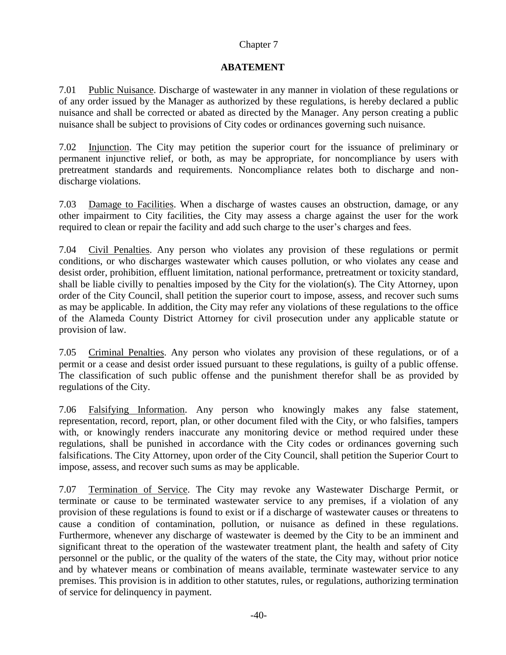# **ABATEMENT**

7.01 Public Nuisance. Discharge of wastewater in any manner in violation of these regulations or of any order issued by the Manager as authorized by these regulations, is hereby declared a public nuisance and shall be corrected or abated as directed by the Manager. Any person creating a public nuisance shall be subject to provisions of City codes or ordinances governing such nuisance.

7.02 Injunction. The City may petition the superior court for the issuance of preliminary or permanent injunctive relief, or both, as may be appropriate, for noncompliance by users with pretreatment standards and requirements. Noncompliance relates both to discharge and nondischarge violations.

7.03 Damage to Facilities. When a discharge of wastes causes an obstruction, damage, or any other impairment to City facilities, the City may assess a charge against the user for the work required to clean or repair the facility and add such charge to the user's charges and fees.

7.04 Civil Penalties. Any person who violates any provision of these regulations or permit conditions, or who discharges wastewater which causes pollution, or who violates any cease and desist order, prohibition, effluent limitation, national performance, pretreatment or toxicity standard, shall be liable civilly to penalties imposed by the City for the violation(s). The City Attorney, upon order of the City Council, shall petition the superior court to impose, assess, and recover such sums as may be applicable. In addition, the City may refer any violations of these regulations to the office of the Alameda County District Attorney for civil prosecution under any applicable statute or provision of law.

7.05 Criminal Penalties. Any person who violates any provision of these regulations, or of a permit or a cease and desist order issued pursuant to these regulations, is guilty of a public offense. The classification of such public offense and the punishment therefor shall be as provided by regulations of the City.

7.06 Falsifying Information. Any person who knowingly makes any false statement, representation, record, report, plan, or other document filed with the City, or who falsifies, tampers with, or knowingly renders inaccurate any monitoring device or method required under these regulations, shall be punished in accordance with the City codes or ordinances governing such falsifications. The City Attorney, upon order of the City Council, shall petition the Superior Court to impose, assess, and recover such sums as may be applicable.

7.07 Termination of Service. The City may revoke any Wastewater Discharge Permit, or terminate or cause to be terminated wastewater service to any premises, if a violation of any provision of these regulations is found to exist or if a discharge of wastewater causes or threatens to cause a condition of contamination, pollution, or nuisance as defined in these regulations. Furthermore, whenever any discharge of wastewater is deemed by the City to be an imminent and significant threat to the operation of the wastewater treatment plant, the health and safety of City personnel or the public, or the quality of the waters of the state, the City may, without prior notice and by whatever means or combination of means available, terminate wastewater service to any premises. This provision is in addition to other statutes, rules, or regulations, authorizing termination of service for delinquency in payment.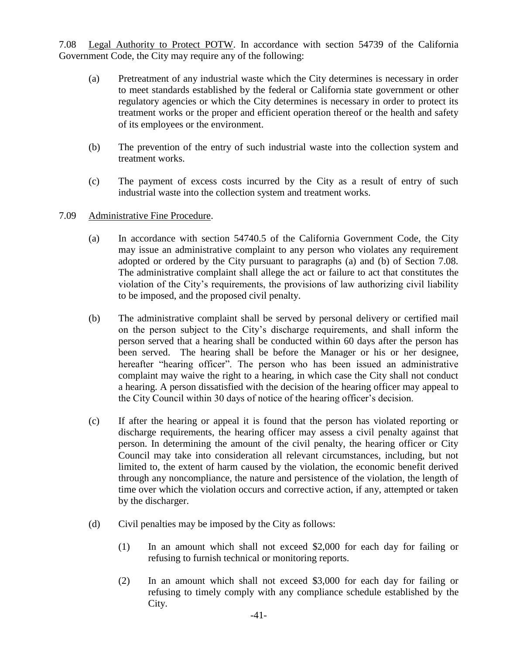7.08 Legal Authority to Protect POTW. In accordance with section 54739 of the California Government Code, the City may require any of the following:

- (a) Pretreatment of any industrial waste which the City determines is necessary in order to meet standards established by the federal or California state government or other regulatory agencies or which the City determines is necessary in order to protect its treatment works or the proper and efficient operation thereof or the health and safety of its employees or the environment.
- (b) The prevention of the entry of such industrial waste into the collection system and treatment works.
- (c) The payment of excess costs incurred by the City as a result of entry of such industrial waste into the collection system and treatment works.
- 7.09 Administrative Fine Procedure.
	- (a) In accordance with section 54740.5 of the California Government Code, the City may issue an administrative complaint to any person who violates any requirement adopted or ordered by the City pursuant to paragraphs (a) and (b) of Section 7.08. The administrative complaint shall allege the act or failure to act that constitutes the violation of the City's requirements, the provisions of law authorizing civil liability to be imposed, and the proposed civil penalty.
	- (b) The administrative complaint shall be served by personal delivery or certified mail on the person subject to the City's discharge requirements, and shall inform the person served that a hearing shall be conducted within 60 days after the person has been served. The hearing shall be before the Manager or his or her designee, hereafter "hearing officer". The person who has been issued an administrative complaint may waive the right to a hearing, in which case the City shall not conduct a hearing. A person dissatisfied with the decision of the hearing officer may appeal to the City Council within 30 days of notice of the hearing officer's decision.
	- (c) If after the hearing or appeal it is found that the person has violated reporting or discharge requirements, the hearing officer may assess a civil penalty against that person. In determining the amount of the civil penalty, the hearing officer or City Council may take into consideration all relevant circumstances, including, but not limited to, the extent of harm caused by the violation, the economic benefit derived through any noncompliance, the nature and persistence of the violation, the length of time over which the violation occurs and corrective action, if any, attempted or taken by the discharger.
	- (d) Civil penalties may be imposed by the City as follows:
		- (1) In an amount which shall not exceed \$2,000 for each day for failing or refusing to furnish technical or monitoring reports.
		- (2) In an amount which shall not exceed \$3,000 for each day for failing or refusing to timely comply with any compliance schedule established by the City.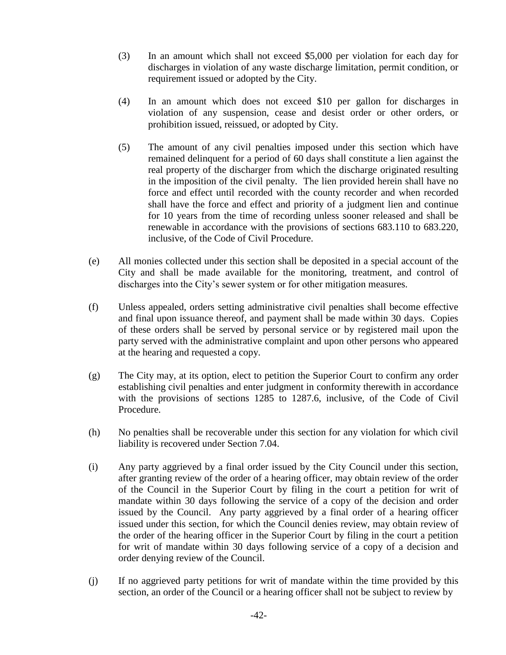- (3) In an amount which shall not exceed \$5,000 per violation for each day for discharges in violation of any waste discharge limitation, permit condition, or requirement issued or adopted by the City.
- (4) In an amount which does not exceed \$10 per gallon for discharges in violation of any suspension, cease and desist order or other orders, or prohibition issued, reissued, or adopted by City.
- (5) The amount of any civil penalties imposed under this section which have remained delinquent for a period of 60 days shall constitute a lien against the real property of the discharger from which the discharge originated resulting in the imposition of the civil penalty. The lien provided herein shall have no force and effect until recorded with the county recorder and when recorded shall have the force and effect and priority of a judgment lien and continue for 10 years from the time of recording unless sooner released and shall be renewable in accordance with the provisions of sections 683.110 to 683.220, inclusive, of the Code of Civil Procedure.
- (e) All monies collected under this section shall be deposited in a special account of the City and shall be made available for the monitoring, treatment, and control of discharges into the City's sewer system or for other mitigation measures.
- (f) Unless appealed, orders setting administrative civil penalties shall become effective and final upon issuance thereof, and payment shall be made within 30 days. Copies of these orders shall be served by personal service or by registered mail upon the party served with the administrative complaint and upon other persons who appeared at the hearing and requested a copy.
- (g) The City may, at its option, elect to petition the Superior Court to confirm any order establishing civil penalties and enter judgment in conformity therewith in accordance with the provisions of sections 1285 to 1287.6, inclusive, of the Code of Civil Procedure.
- (h) No penalties shall be recoverable under this section for any violation for which civil liability is recovered under Section 7.04.
- (i) Any party aggrieved by a final order issued by the City Council under this section, after granting review of the order of a hearing officer, may obtain review of the order of the Council in the Superior Court by filing in the court a petition for writ of mandate within 30 days following the service of a copy of the decision and order issued by the Council. Any party aggrieved by a final order of a hearing officer issued under this section, for which the Council denies review, may obtain review of the order of the hearing officer in the Superior Court by filing in the court a petition for writ of mandate within 30 days following service of a copy of a decision and order denying review of the Council.
- (j) If no aggrieved party petitions for writ of mandate within the time provided by this section, an order of the Council or a hearing officer shall not be subject to review by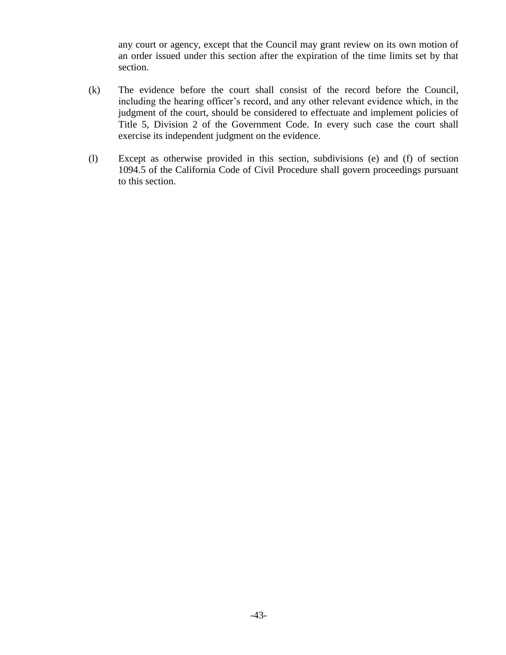any court or agency, except that the Council may grant review on its own motion of an order issued under this section after the expiration of the time limits set by that section.

- (k) The evidence before the court shall consist of the record before the Council, including the hearing officer's record, and any other relevant evidence which, in the judgment of the court, should be considered to effectuate and implement policies of Title 5, Division 2 of the Government Code. In every such case the court shall exercise its independent judgment on the evidence.
- (l) Except as otherwise provided in this section, subdivisions (e) and (f) of section 1094.5 of the California Code of Civil Procedure shall govern proceedings pursuant to this section.